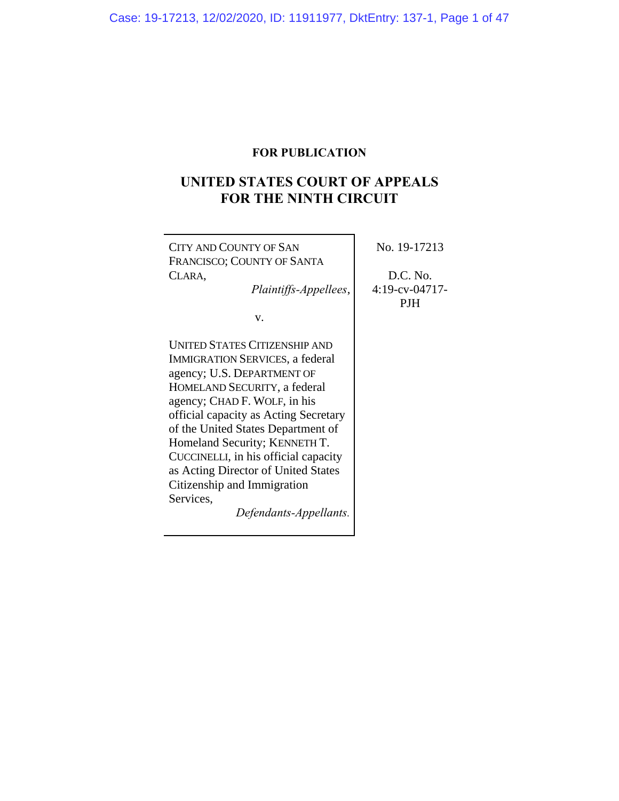# **FOR PUBLICATION**

# **UNITED STATES COURT OF APPEALS FOR THE NINTH CIRCUIT**

| CITY AND COUNTY OF SAN<br>FRANCISCO; COUNTY OF SANTA<br>CLARA,<br>Plaintiffs-Appellees,<br>V.                                                                                                                                                                                                                                                                                                                                                     | No. 19-17213<br>D.C. No.<br>$4:19$ -cv-04717-<br><b>PJH</b> |
|---------------------------------------------------------------------------------------------------------------------------------------------------------------------------------------------------------------------------------------------------------------------------------------------------------------------------------------------------------------------------------------------------------------------------------------------------|-------------------------------------------------------------|
| <b>UNITED STATES CITIZENSHIP AND</b><br><b>IMMIGRATION SERVICES, a federal</b><br>agency; U.S. DEPARTMENT OF<br>HOMELAND SECURITY, a federal<br>agency; CHAD F. WOLF, in his<br>official capacity as Acting Secretary<br>of the United States Department of<br>Homeland Security; KENNETH T.<br>CUCCINELLI, in his official capacity<br>as Acting Director of United States<br>Citizenship and Immigration<br>Services,<br>Defendants-Appellants. |                                                             |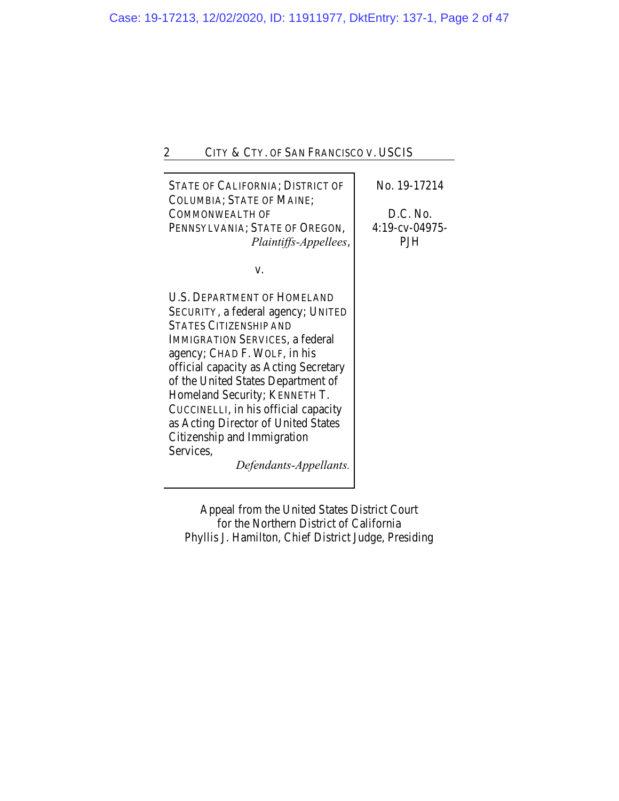| <b>STATE OF CALIFORNIA; DISTRICT OF</b><br><b>COLUMBIA; STATE OF MAINE;</b><br>COMMONWEALTH OF<br>PENNSYLVANIA; STATE OF OREGON,<br>Plaintiffs-Appellees,                                                                                                                                                                                                                                                                                                | No. 19-17214<br>D.C. No.<br>4:19-cv-04975-<br>PJH |
|----------------------------------------------------------------------------------------------------------------------------------------------------------------------------------------------------------------------------------------------------------------------------------------------------------------------------------------------------------------------------------------------------------------------------------------------------------|---------------------------------------------------|
| V.                                                                                                                                                                                                                                                                                                                                                                                                                                                       |                                                   |
| <b>U.S. DEPARTMENT OF HOMELAND</b><br>SECURITY, a federal agency; UNITED<br><b>STATES CITIZENSHIP AND</b><br><b>IMMIGRATION SERVICES, a federal</b><br>agency; CHAD F. WOLF, in his<br>official capacity as Acting Secretary<br>of the United States Department of<br>Homeland Security; KENNETH T.<br>CUCCINELLI, in his official capacity<br>as Acting Director of United States<br>Citizenship and Immigration<br>Services,<br>Defendants-Appellants. |                                                   |

Appeal from the United States District Court for the Northern District of California Phyllis J. Hamilton, Chief District Judge, Presiding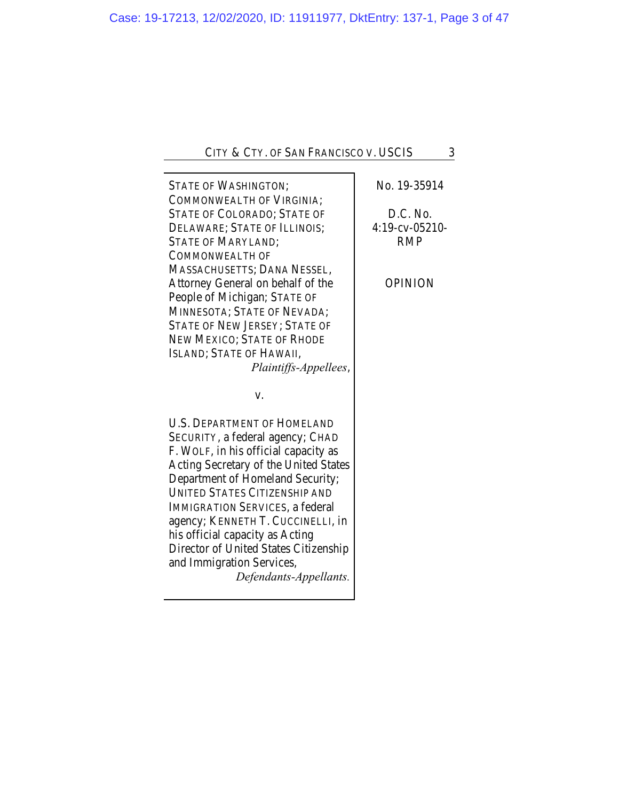| <b>STATE OF WASHINGTON;</b><br><b>COMMONWEALTH OF VIRGINIA;</b> | No. 19-35914      |
|-----------------------------------------------------------------|-------------------|
| <b>STATE OF COLORADO; STATE OF</b>                              | D.C. No.          |
| DELAWARE; STATE OF ILLINOIS;                                    | $4:19$ -cv-05210- |
| <b>STATE OF MARYLAND;</b>                                       | <b>RMP</b>        |
| <b>COMMONWEALTH OF</b>                                          |                   |
| MASSACHUSETTS; DANA NESSEL,                                     |                   |
| Attorney General on behalf of the                               | <b>OPINION</b>    |
| People of Michigan; STATE OF                                    |                   |
| MINNESOTA; STATE OF NEVADA;                                     |                   |
| <b>STATE OF NEW JERSEY; STATE OF</b>                            |                   |
| NEW MEXICO; STATE OF RHODE                                      |                   |
| ISLAND; STATE OF HAWAII,                                        |                   |
| Plaintiffs-Appellees,                                           |                   |
|                                                                 |                   |
|                                                                 |                   |
| V.                                                              |                   |
| <b>U.S. DEPARTMENT OF HOMELAND</b>                              |                   |
| SECURITY, a federal agency; CHAD                                |                   |
| F. WOLF, in his official capacity as                            |                   |
| Acting Secretary of the United States                           |                   |
| Department of Homeland Security;                                |                   |
| <b>UNITED STATES CITIZENSHIP AND</b>                            |                   |
| <b>IMMIGRATION SERVICES, a federal</b>                          |                   |
| agency; KENNETH T. CUCCINELLI, in                               |                   |
| his official capacity as Acting                                 |                   |
| Director of United States Citizenship                           |                   |
| and Immigration Services,                                       |                   |
| Defendants-Appellants.                                          |                   |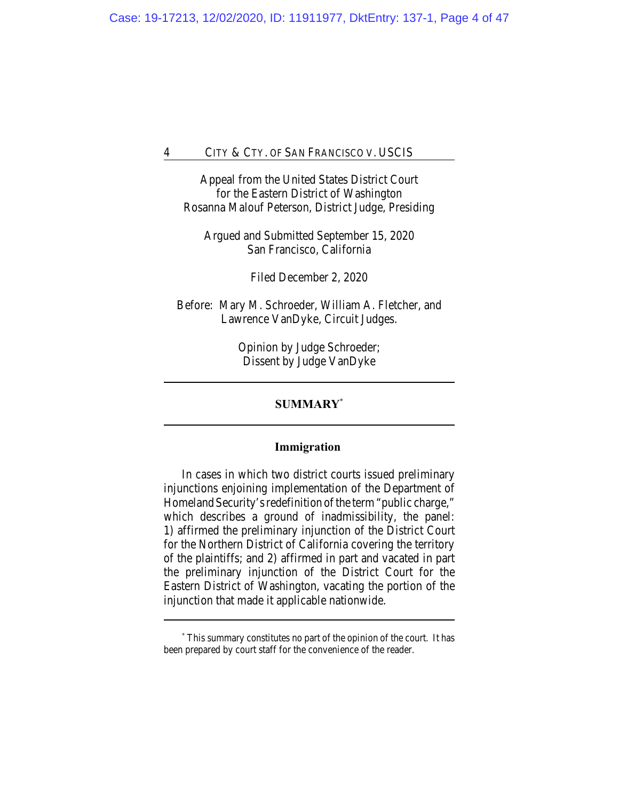Appeal from the United States District Court for the Eastern District of Washington Rosanna Malouf Peterson, District Judge, Presiding

Argued and Submitted September 15, 2020 San Francisco, California

Filed December 2, 2020

Before: Mary M. Schroeder, William A. Fletcher, and Lawrence VanDyke, Circuit Judges.

> Opinion by Judge Schroeder; Dissent by Judge VanDyke

## **SUMMARY\***

## **Immigration**

In cases in which two district courts issued preliminary injunctions enjoining implementation of the Department of Homeland Security's redefinition of the term "public charge," which describes a ground of inadmissibility, the panel: 1) affirmed the preliminary injunction of the District Court for the Northern District of California covering the territory of the plaintiffs; and 2) affirmed in part and vacated in part the preliminary injunction of the District Court for the Eastern District of Washington, vacating the portion of the injunction that made it applicable nationwide.

**<sup>\*</sup>** This summary constitutes no part of the opinion of the court. It has been prepared by court staff for the convenience of the reader.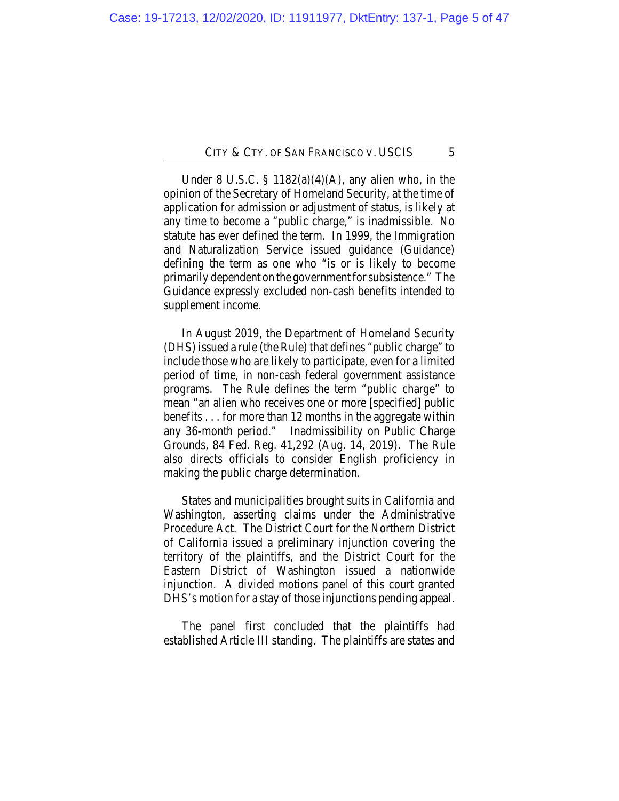Under 8 U.S.C.  $\S$  1182(a)(4)(A), any alien who, in the opinion of the Secretary of Homeland Security, at the time of application for admission or adjustment of status, is likely at any time to become a "public charge," is inadmissible. No statute has ever defined the term. In 1999, the Immigration and Naturalization Service issued guidance (Guidance) defining the term as one who "is or is likely to become primarily dependent on the government for subsistence." The Guidance expressly excluded non-cash benefits intended to supplement income.

In August 2019, the Department of Homeland Security (DHS) issued a rule (the Rule) that defines "public charge" to include those who are likely to participate, even for a limited period of time, in non-cash federal government assistance programs. The Rule defines the term "public charge" to mean "an alien who receives one or more [specified] public benefits . . . for more than 12 months in the aggregate within any 36-month period." Inadmissibility on Public Charge Grounds, 84 Fed. Reg. 41,292 (Aug. 14, 2019). The Rule also directs officials to consider English proficiency in making the public charge determination.

States and municipalities brought suits in California and Washington, asserting claims under the Administrative Procedure Act. The District Court for the Northern District of California issued a preliminary injunction covering the territory of the plaintiffs, and the District Court for the Eastern District of Washington issued a nationwide injunction. A divided motions panel of this court granted DHS's motion for a stay of those injunctions pending appeal.

The panel first concluded that the plaintiffs had established Article III standing. The plaintiffs are states and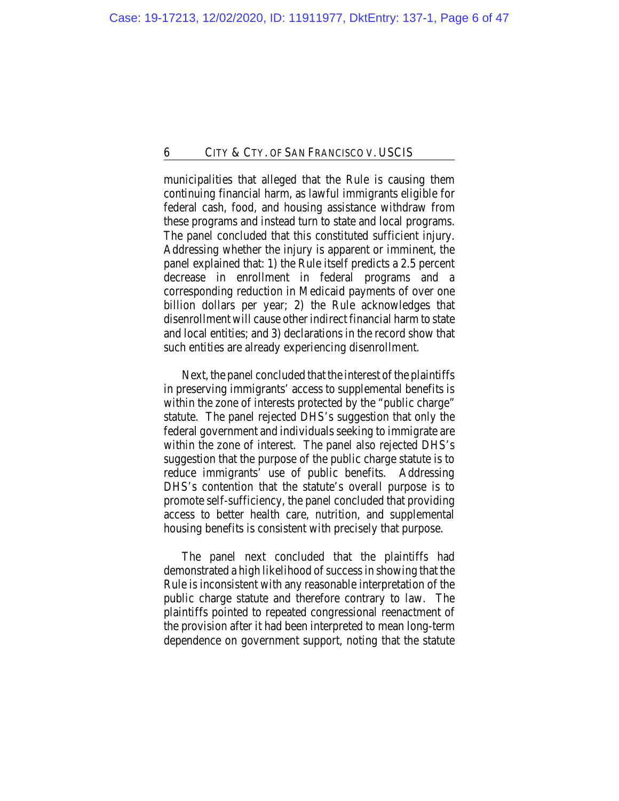municipalities that alleged that the Rule is causing them continuing financial harm, as lawful immigrants eligible for federal cash, food, and housing assistance withdraw from these programs and instead turn to state and local programs. The panel concluded that this constituted sufficient injury. Addressing whether the injury is apparent or imminent, the panel explained that: 1) the Rule itself predicts a 2.5 percent decrease in enrollment in federal programs and a corresponding reduction in Medicaid payments of over one billion dollars per year; 2) the Rule acknowledges that disenrollment will cause other indirect financial harm to state and local entities; and 3) declarations in the record show that such entities are already experiencing disenrollment.

Next, the panel concluded that the interest of the plaintiffs in preserving immigrants' access to supplemental benefits is within the zone of interests protected by the "public charge" statute. The panel rejected DHS's suggestion that only the federal government and individuals seeking to immigrate are within the zone of interest. The panel also rejected DHS's suggestion that the purpose of the public charge statute is to reduce immigrants' use of public benefits. Addressing DHS's contention that the statute's overall purpose is to promote self-sufficiency, the panel concluded that providing access to better health care, nutrition, and supplemental housing benefits is consistent with precisely that purpose.

The panel next concluded that the plaintiffs had demonstrated a high likelihood of success in showing that the Rule is inconsistent with any reasonable interpretation of the public charge statute and therefore contrary to law. The plaintiffs pointed to repeated congressional reenactment of the provision after it had been interpreted to mean long-term dependence on government support, noting that the statute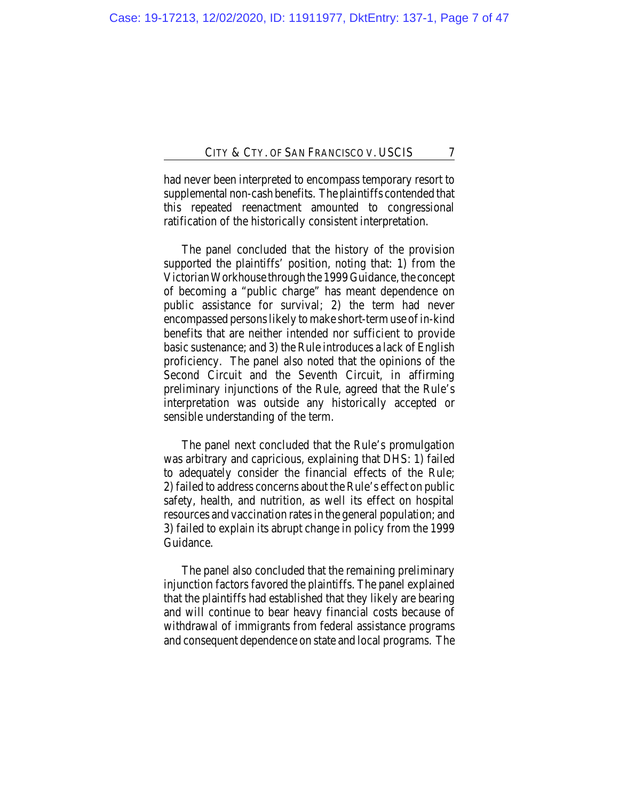had never been interpreted to encompass temporary resort to supplemental non-cash benefits. The plaintiffs contended that this repeated reenactment amounted to congressional ratification of the historically consistent interpretation.

The panel concluded that the history of the provision supported the plaintiffs' position, noting that: 1) from the Victorian Workhouse through the 1999 Guidance, the concept of becoming a "public charge" has meant dependence on public assistance for survival; 2) the term had never encompassed persons likely to make short-term use of in-kind benefits that are neither intended nor sufficient to provide basic sustenance; and 3) the Rule introduces a lack of English proficiency. The panel also noted that the opinions of the Second Circuit and the Seventh Circuit, in affirming preliminary injunctions of the Rule, agreed that the Rule's interpretation was outside any historically accepted or sensible understanding of the term.

The panel next concluded that the Rule's promulgation was arbitrary and capricious, explaining that DHS: 1) failed to adequately consider the financial effects of the Rule; 2) failed to address concerns about the Rule's effect on public safety, health, and nutrition, as well its effect on hospital resources and vaccination rates in the general population; and 3) failed to explain its abrupt change in policy from the 1999 Guidance.

The panel also concluded that the remaining preliminary injunction factors favored the plaintiffs. The panel explained that the plaintiffs had established that they likely are bearing and will continue to bear heavy financial costs because of withdrawal of immigrants from federal assistance programs and consequent dependence on state and local programs. The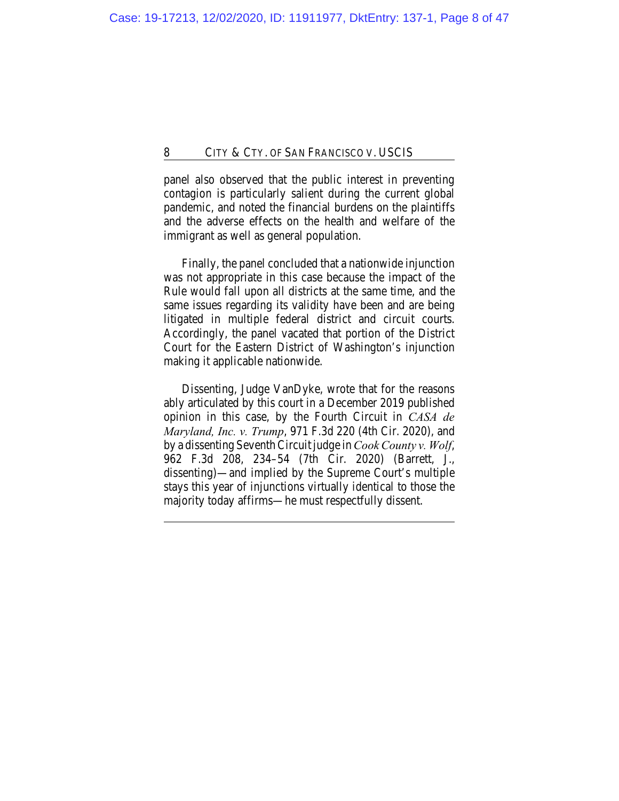panel also observed that the public interest in preventing contagion is particularly salient during the current global pandemic, and noted the financial burdens on the plaintiffs and the adverse effects on the health and welfare of the immigrant as well as general population.

Finally, the panel concluded that a nationwide injunction was not appropriate in this case because the impact of the Rule would fall upon all districts at the same time, and the same issues regarding its validity have been and are being litigated in multiple federal district and circuit courts. Accordingly, the panel vacated that portion of the District Court for the Eastern District of Washington's injunction making it applicable nationwide.

Dissenting, Judge VanDyke, wrote that for the reasons ably articulated by this court in a December 2019 published opinion in this case, by the Fourth Circuit in *CASA de Maryland, Inc. v. Trump*, 971 F.3d 220 (4th Cir. 2020), and by a dissenting Seventh Circuit judge in *Cook County v. Wolf*, 962 F.3d 208, 234–54 (7th Cir. 2020) (Barrett, J., dissenting)—and implied by the Supreme Court's multiple stays this year of injunctions virtually identical to those the majority today affirms—he must respectfully dissent.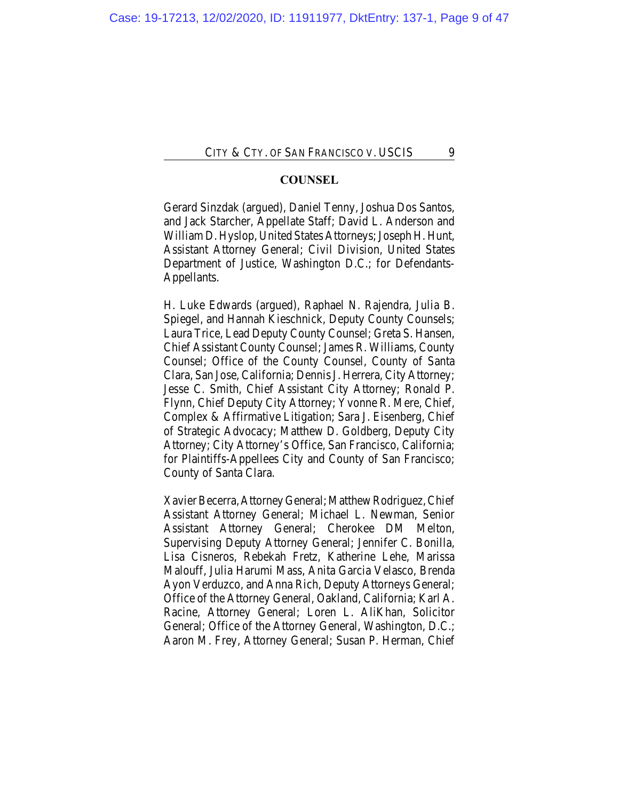## **COUNSEL**

Gerard Sinzdak (argued), Daniel Tenny, Joshua Dos Santos, and Jack Starcher, Appellate Staff; David L. Anderson and William D. Hyslop, United States Attorneys; Joseph H. Hunt, Assistant Attorney General; Civil Division, United States Department of Justice, Washington D.C.; for Defendants-Appellants.

H. Luke Edwards (argued), Raphael N. Rajendra, Julia B. Spiegel, and Hannah Kieschnick, Deputy County Counsels; Laura Trice, Lead Deputy County Counsel; Greta S. Hansen, Chief Assistant County Counsel; James R. Williams, County Counsel; Office of the County Counsel, County of Santa Clara, San Jose, California; Dennis J. Herrera, City Attorney; Jesse C. Smith, Chief Assistant City Attorney; Ronald P. Flynn, Chief Deputy City Attorney; Yvonne R. Mere, Chief, Complex & Affirmative Litigation; Sara J. Eisenberg, Chief of Strategic Advocacy; Matthew D. Goldberg, Deputy City Attorney; City Attorney's Office, San Francisco, California; for Plaintiffs-Appellees City and County of San Francisco; County of Santa Clara.

Xavier Becerra, Attorney General; Matthew Rodriguez, Chief Assistant Attorney General; Michael L. Newman, Senior Assistant Attorney General; Cherokee DM Melton, Supervising Deputy Attorney General; Jennifer C. Bonilla, Lisa Cisneros, Rebekah Fretz, Katherine Lehe, Marissa Malouff, Julia Harumi Mass, Anita Garcia Velasco, Brenda Ayon Verduzco, and Anna Rich, Deputy Attorneys General; Office of the Attorney General, Oakland, California; Karl A. Racine, Attorney General; Loren L. AliKhan, Solicitor General; Office of the Attorney General, Washington, D.C.; Aaron M. Frey, Attorney General; Susan P. Herman, Chief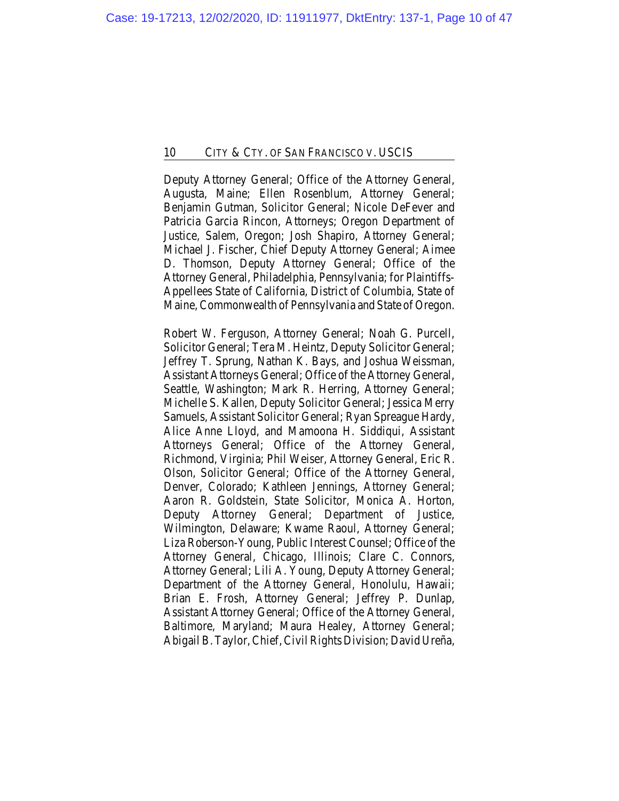Deputy Attorney General; Office of the Attorney General, Augusta, Maine; Ellen Rosenblum, Attorney General; Benjamin Gutman, Solicitor General; Nicole DeFever and Patricia Garcia Rincon, Attorneys; Oregon Department of Justice, Salem, Oregon; Josh Shapiro, Attorney General; Michael J. Fischer, Chief Deputy Attorney General; Aimee D. Thomson, Deputy Attorney General; Office of the Attorney General, Philadelphia, Pennsylvania; for Plaintiffs-Appellees State of California, District of Columbia, State of Maine, Commonwealth of Pennsylvania and State of Oregon.

Robert W. Ferguson, Attorney General; Noah G. Purcell, Solicitor General; Tera M. Heintz, Deputy Solicitor General; Jeffrey T. Sprung, Nathan K. Bays, and Joshua Weissman, Assistant Attorneys General; Office of the Attorney General, Seattle, Washington; Mark R. Herring, Attorney General; Michelle S. Kallen, Deputy Solicitor General; Jessica Merry Samuels, Assistant Solicitor General; Ryan Spreague Hardy, Alice Anne Lloyd, and Mamoona H. Siddiqui, Assistant Attorneys General; Office of the Attorney General, Richmond, Virginia; Phil Weiser, Attorney General, Eric R. Olson, Solicitor General; Office of the Attorney General, Denver, Colorado; Kathleen Jennings, Attorney General; Aaron R. Goldstein, State Solicitor, Monica A. Horton, Deputy Attorney General; Department of Justice, Wilmington, Delaware; Kwame Raoul, Attorney General; Liza Roberson-Young, Public Interest Counsel; Office of the Attorney General, Chicago, Illinois; Clare C. Connors, Attorney General; Lili A. Young, Deputy Attorney General; Department of the Attorney General, Honolulu, Hawaii; Brian E. Frosh, Attorney General; Jeffrey P. Dunlap, Assistant Attorney General; Office of the Attorney General, Baltimore, Maryland; Maura Healey, Attorney General; Abigail B. Taylor, Chief, Civil Rights Division; David Ureña,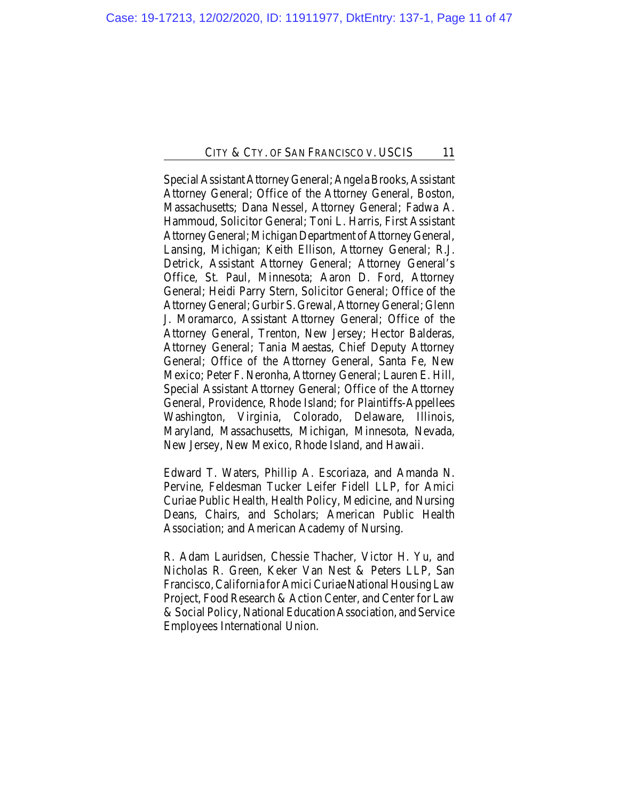Special Assistant Attorney General; Angela Brooks, Assistant Attorney General; Office of the Attorney General, Boston, Massachusetts; Dana Nessel, Attorney General; Fadwa A. Hammoud, Solicitor General; Toni L. Harris, First Assistant Attorney General; Michigan Department of Attorney General, Lansing, Michigan; Keith Ellison, Attorney General; R.J. Detrick, Assistant Attorney General; Attorney General's Office, St. Paul, Minnesota; Aaron D. Ford, Attorney General; Heidi Parry Stern, Solicitor General; Office of the Attorney General; Gurbir S. Grewal, Attorney General; Glenn J. Moramarco, Assistant Attorney General; Office of the Attorney General, Trenton, New Jersey; Hector Balderas, Attorney General; Tania Maestas, Chief Deputy Attorney General; Office of the Attorney General, Santa Fe, New Mexico; Peter F. Neronha, Attorney General; Lauren E. Hill, Special Assistant Attorney General; Office of the Attorney General, Providence, Rhode Island; for Plaintiffs-Appellees Washington, Virginia, Colorado, Delaware, Illinois, Maryland, Massachusetts, Michigan, Minnesota, Nevada, New Jersey, New Mexico, Rhode Island, and Hawaii.

Edward T. Waters, Phillip A. Escoriaza, and Amanda N. Pervine, Feldesman Tucker Leifer Fidell LLP, for Amici Curiae Public Health, Health Policy, Medicine, and Nursing Deans, Chairs, and Scholars; American Public Health Association; and American Academy of Nursing.

R. Adam Lauridsen, Chessie Thacher, Victor H. Yu, and Nicholas R. Green, Keker Van Nest & Peters LLP, San Francisco, California for Amici Curiae National Housing Law Project, Food Research & Action Center, and Center for Law & Social Policy, National Education Association, and Service Employees International Union.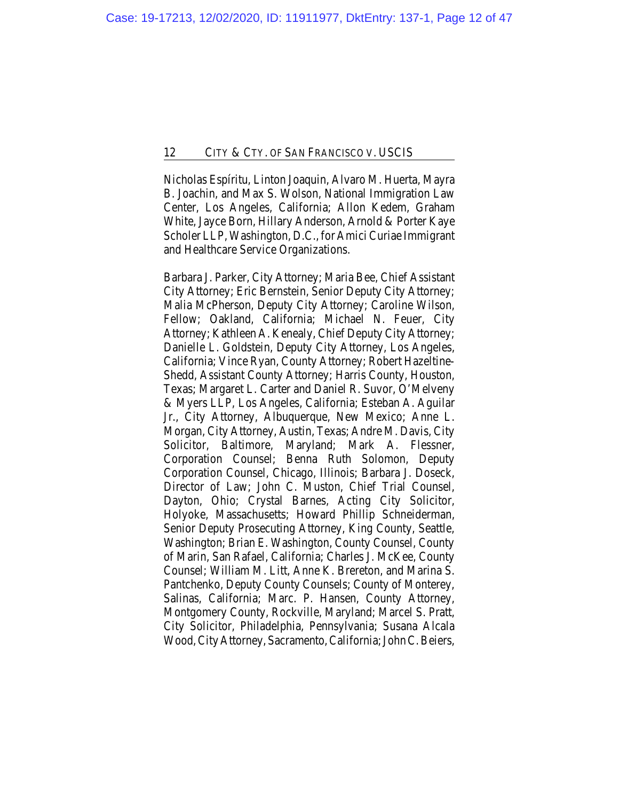Nicholas Espíritu, Linton Joaquin, Alvaro M. Huerta, Mayra B. Joachin, and Max S. Wolson, National Immigration Law Center, Los Angeles, California; Allon Kedem, Graham White, Jayce Born, Hillary Anderson, Arnold & Porter Kaye Scholer LLP, Washington, D.C., for Amici Curiae Immigrant and Healthcare Service Organizations.

Barbara J. Parker, City Attorney; Maria Bee, Chief Assistant City Attorney; Eric Bernstein, Senior Deputy City Attorney; Malia McPherson, Deputy City Attorney; Caroline Wilson, Fellow; Oakland, California; Michael N. Feuer, City Attorney; Kathleen A. Kenealy, Chief Deputy City Attorney; Danielle L. Goldstein, Deputy City Attorney, Los Angeles, California; Vince Ryan, County Attorney; Robert Hazeltine-Shedd, Assistant County Attorney; Harris County, Houston, Texas; Margaret L. Carter and Daniel R. Suvor, O'Melveny & Myers LLP, Los Angeles, California; Esteban A. Aguilar Jr., City Attorney, Albuquerque, New Mexico; Anne L. Morgan, City Attorney, Austin, Texas; Andre M. Davis, City Solicitor, Baltimore, Maryland; Mark A. Flessner, Corporation Counsel; Benna Ruth Solomon, Deputy Corporation Counsel, Chicago, Illinois; Barbara J. Doseck, Director of Law; John C. Muston, Chief Trial Counsel, Dayton, Ohio; Crystal Barnes, Acting City Solicitor, Holyoke, Massachusetts; Howard Phillip Schneiderman, Senior Deputy Prosecuting Attorney, King County, Seattle, Washington; Brian E. Washington, County Counsel, County of Marin, San Rafael, California; Charles J. McKee, County Counsel; William M. Litt, Anne K. Brereton, and Marina S. Pantchenko, Deputy County Counsels; County of Monterey, Salinas, California; Marc. P. Hansen, County Attorney, Montgomery County, Rockville, Maryland; Marcel S. Pratt, City Solicitor, Philadelphia, Pennsylvania; Susana Alcala Wood, City Attorney, Sacramento, California; John C. Beiers,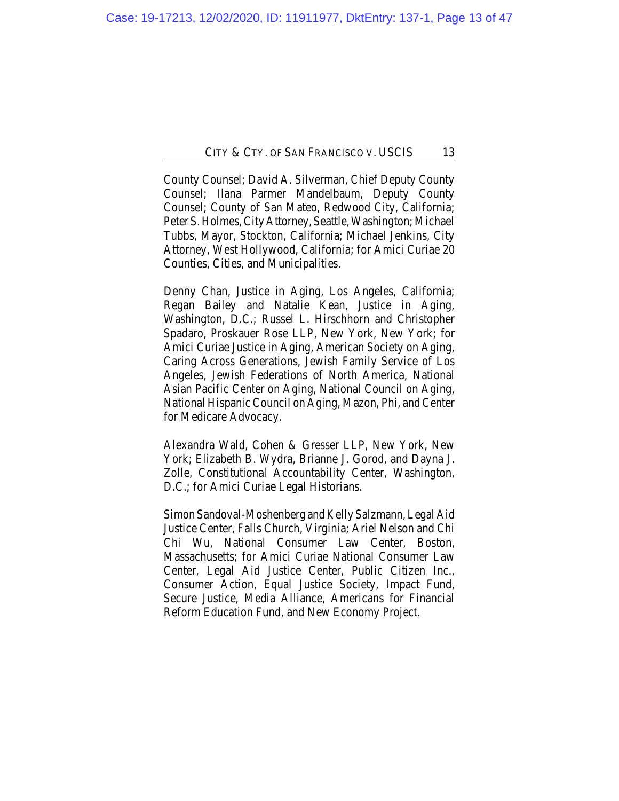County Counsel; David A. Silverman, Chief Deputy County Counsel; Ilana Parmer Mandelbaum, Deputy County Counsel; County of San Mateo, Redwood City, California; Peter S. Holmes, City Attorney, Seattle, Washington; Michael Tubbs, Mayor, Stockton, California; Michael Jenkins, City Attorney, West Hollywood, California; for Amici Curiae 20 Counties, Cities, and Municipalities.

Denny Chan, Justice in Aging, Los Angeles, California; Regan Bailey and Natalie Kean, Justice in Aging, Washington, D.C.; Russel L. Hirschhorn and Christopher Spadaro, Proskauer Rose LLP, New York, New York; for Amici Curiae Justice in Aging, American Society on Aging, Caring Across Generations, Jewish Family Service of Los Angeles, Jewish Federations of North America, National Asian Pacific Center on Aging, National Council on Aging, National Hispanic Council on Aging, Mazon, Phi, and Center for Medicare Advocacy.

Alexandra Wald, Cohen & Gresser LLP, New York, New York; Elizabeth B. Wydra, Brianne J. Gorod, and Dayna J. Zolle, Constitutional Accountability Center, Washington, D.C.; for Amici Curiae Legal Historians.

Simon Sandoval-Moshenberg and Kelly Salzmann, Legal Aid Justice Center, Falls Church, Virginia; Ariel Nelson and Chi Chi Wu, National Consumer Law Center, Boston, Massachusetts; for Amici Curiae National Consumer Law Center, Legal Aid Justice Center, Public Citizen Inc., Consumer Action, Equal Justice Society, Impact Fund, Secure Justice, Media Alliance, Americans for Financial Reform Education Fund, and New Economy Project.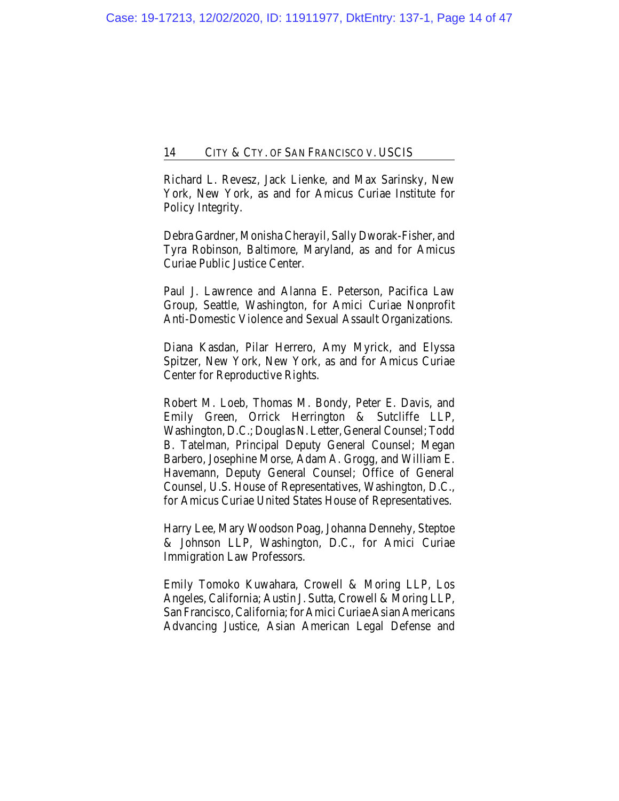Richard L. Revesz, Jack Lienke, and Max Sarinsky, New York, New York, as and for Amicus Curiae Institute for Policy Integrity.

Debra Gardner, Monisha Cherayil, Sally Dworak-Fisher, and Tyra Robinson, Baltimore, Maryland, as and for Amicus Curiae Public Justice Center.

Paul J. Lawrence and Alanna E. Peterson, Pacifica Law Group, Seattle, Washington, for Amici Curiae Nonprofit Anti-Domestic Violence and Sexual Assault Organizations.

Diana Kasdan, Pilar Herrero, Amy Myrick, and Elyssa Spitzer, New York, New York, as and for Amicus Curiae Center for Reproductive Rights.

Robert M. Loeb, Thomas M. Bondy, Peter E. Davis, and Emily Green, Orrick Herrington & Sutcliffe LLP, Washington, D.C.; Douglas N. Letter, General Counsel; Todd B. Tatelman, Principal Deputy General Counsel; Megan Barbero, Josephine Morse, Adam A. Grogg, and William E. Havemann, Deputy General Counsel; Office of General Counsel, U.S. House of Representatives, Washington, D.C., for Amicus Curiae United States House of Representatives.

Harry Lee, Mary Woodson Poag, Johanna Dennehy, Steptoe & Johnson LLP, Washington, D.C., for Amici Curiae Immigration Law Professors.

Emily Tomoko Kuwahara, Crowell & Moring LLP, Los Angeles, California; Austin J. Sutta, Crowell & Moring LLP, San Francisco, California; for Amici Curiae Asian Americans Advancing Justice, Asian American Legal Defense and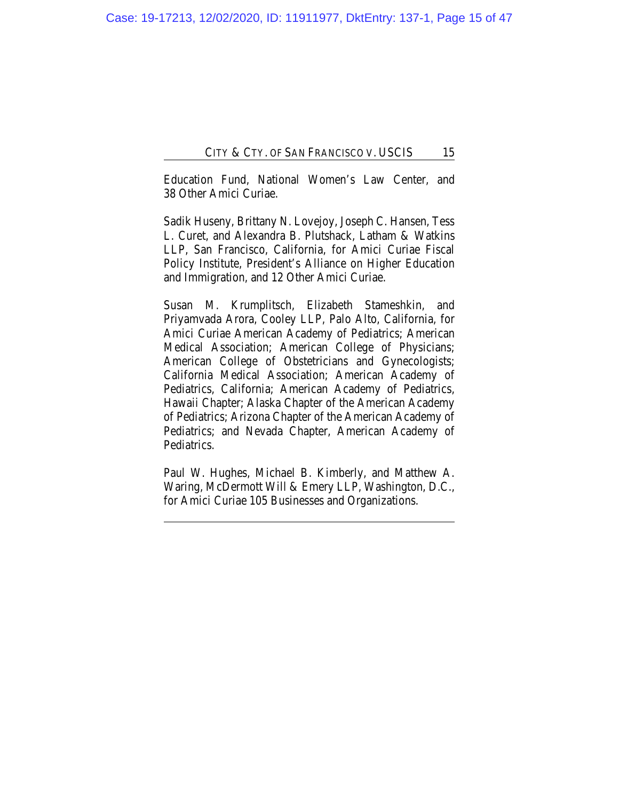Education Fund, National Women's Law Center, and 38 Other Amici Curiae.

Sadik Huseny, Brittany N. Lovejoy, Joseph C. Hansen, Tess L. Curet, and Alexandra B. Plutshack, Latham & Watkins LLP, San Francisco, California, for Amici Curiae Fiscal Policy Institute, President's Alliance on Higher Education and Immigration, and 12 Other Amici Curiae.

Susan M. Krumplitsch, Elizabeth Stameshkin, and Priyamvada Arora, Cooley LLP, Palo Alto, California, for Amici Curiae American Academy of Pediatrics; American Medical Association; American College of Physicians; American College of Obstetricians and Gynecologists; California Medical Association; American Academy of Pediatrics, California; American Academy of Pediatrics, Hawaii Chapter; Alaska Chapter of the American Academy of Pediatrics; Arizona Chapter of the American Academy of Pediatrics; and Nevada Chapter, American Academy of Pediatrics.

Paul W. Hughes, Michael B. Kimberly, and Matthew A. Waring, McDermott Will & Emery LLP, Washington, D.C., for Amici Curiae 105 Businesses and Organizations.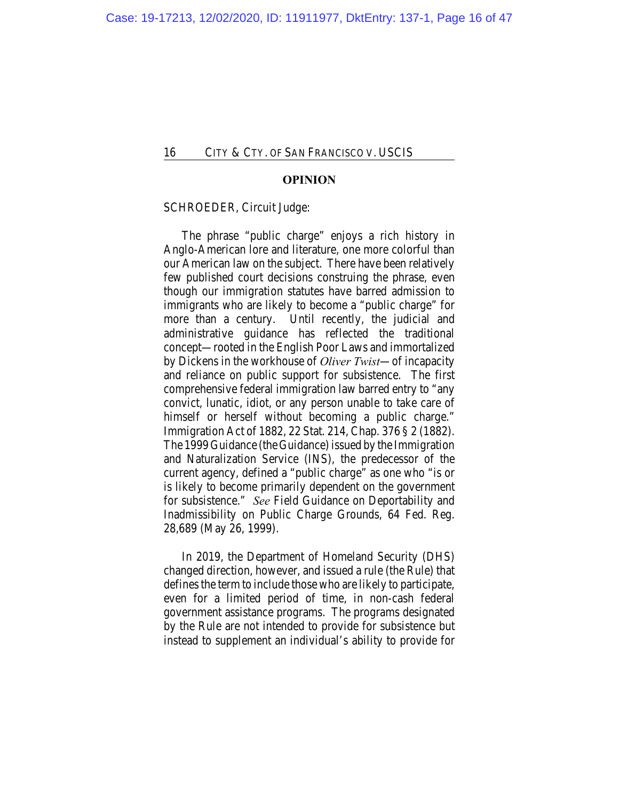#### **OPINION**

#### SCHROEDER, Circuit Judge:

The phrase "public charge" enjoys a rich history in Anglo-American lore and literature, one more colorful than our American law on the subject. There have been relatively few published court decisions construing the phrase, even though our immigration statutes have barred admission to immigrants who are likely to become a "public charge" for more than a century. Until recently, the judicial and administrative guidance has reflected the traditional concept—rooted in the English Poor Laws and immortalized by Dickens in the workhouse of *Oliver Twist*—of incapacity and reliance on public support for subsistence. The first comprehensive federal immigration law barred entry to "any convict, lunatic, idiot, or any person unable to take care of himself or herself without becoming a public charge." Immigration Act of 1882, 22 Stat. 214, Chap. 376 § 2 (1882). The 1999 Guidance (the Guidance) issued by the Immigration and Naturalization Service (INS), the predecessor of the current agency, defined a "public charge" as one who "is or is likely to become primarily dependent on the government for subsistence." *See* Field Guidance on Deportability and Inadmissibility on Public Charge Grounds, 64 Fed. Reg. 28,689 (May 26, 1999).

In 2019, the Department of Homeland Security (DHS) changed direction, however, and issued a rule (the Rule) that defines the term to include those who are likely to participate, even for a limited period of time, in non-cash federal government assistance programs. The programs designated by the Rule are not intended to provide for subsistence but instead to supplement an individual's ability to provide for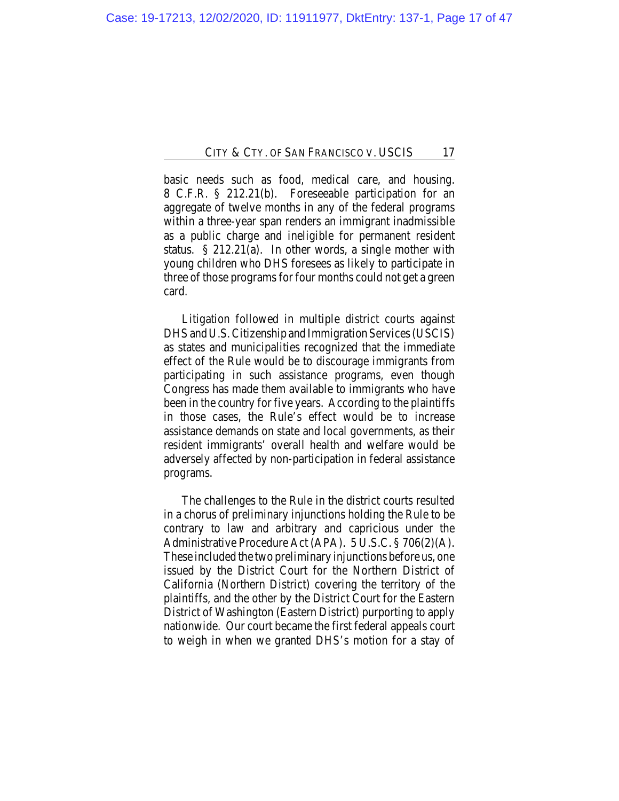basic needs such as food, medical care, and housing. 8 C.F.R. § 212.21(b). Foreseeable participation for an aggregate of twelve months in any of the federal programs within a three-year span renders an immigrant inadmissible as a public charge and ineligible for permanent resident status. § 212.21(a). In other words, a single mother with young children who DHS foresees as likely to participate in three of those programs for four months could not get a green card.

Litigation followed in multiple district courts against DHS and U.S. Citizenship and Immigration Services (USCIS) as states and municipalities recognized that the immediate effect of the Rule would be to discourage immigrants from participating in such assistance programs, even though Congress has made them available to immigrants who have been in the country for five years. According to the plaintiffs in those cases, the Rule's effect would be to increase assistance demands on state and local governments, as their resident immigrants' overall health and welfare would be adversely affected by non-participation in federal assistance programs.

The challenges to the Rule in the district courts resulted in a chorus of preliminary injunctions holding the Rule to be contrary to law and arbitrary and capricious under the Administrative Procedure Act (APA). 5 U.S.C. § 706(2)(A). These included the two preliminary injunctions before us, one issued by the District Court for the Northern District of California (Northern District) covering the territory of the plaintiffs, and the other by the District Court for the Eastern District of Washington (Eastern District) purporting to apply nationwide. Our court became the first federal appeals court to weigh in when we granted DHS's motion for a stay of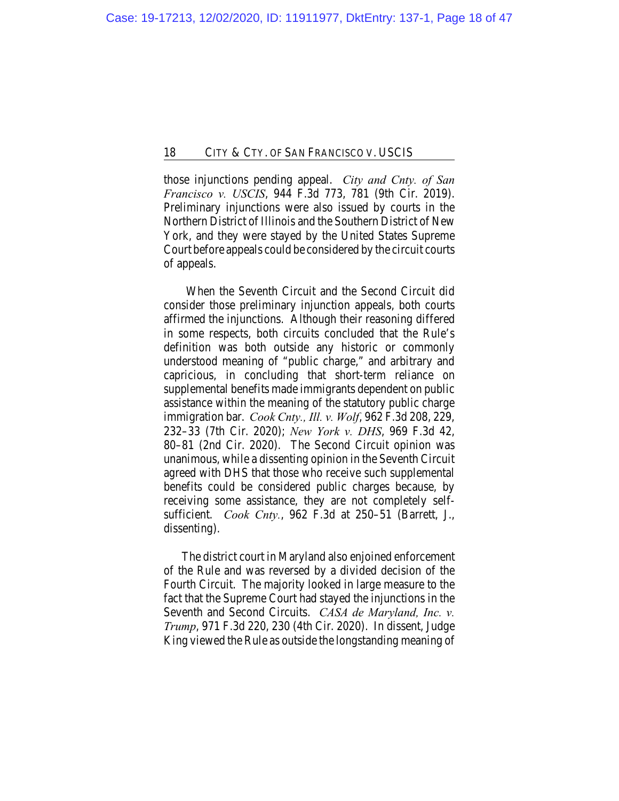those injunctions pending appeal. *City and Cnty. of San Francisco v. USCIS*, 944 F.3d 773, 781 (9th Cir. 2019). Preliminary injunctions were also issued by courts in the Northern District of Illinois and the Southern District of New York, and they were stayed by the United States Supreme Court before appeals could be considered by the circuit courts of appeals.

 When the Seventh Circuit and the Second Circuit did consider those preliminary injunction appeals, both courts affirmed the injunctions. Although their reasoning differed in some respects, both circuits concluded that the Rule's definition was both outside any historic or commonly understood meaning of "public charge," and arbitrary and capricious, in concluding that short-term reliance on supplemental benefits made immigrants dependent on public assistance within the meaning of the statutory public charge immigration bar. *Cook Cnty., Ill. v. Wolf*, 962 F.3d 208, 229, 232–33 (7th Cir. 2020); *New York v. DHS*, 969 F.3d 42, 80–81 (2nd Cir. 2020). The Second Circuit opinion was unanimous, while a dissenting opinion in the Seventh Circuit agreed with DHS that those who receive such supplemental benefits could be considered public charges because, by receiving some assistance, they are not completely selfsufficient. *Cook Cnty.*, 962 F.3d at 250–51 (Barrett, J., dissenting).

The district court in Maryland also enjoined enforcement of the Rule and was reversed by a divided decision of the Fourth Circuit. The majority looked in large measure to the fact that the Supreme Court had stayed the injunctions in the Seventh and Second Circuits. *CASA de Maryland, Inc. v. Trump*, 971 F.3d 220, 230 (4th Cir. 2020). In dissent, Judge King viewed the Rule as outside the longstanding meaning of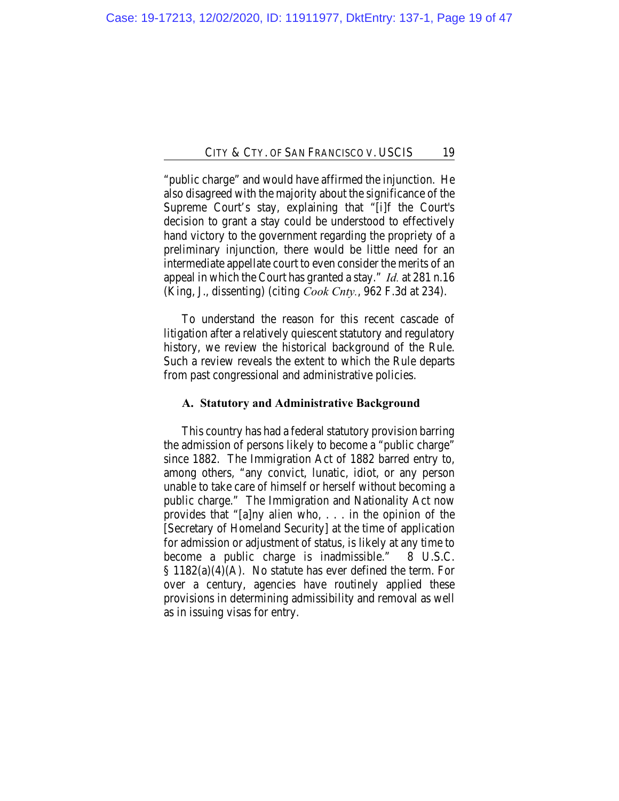"public charge" and would have affirmed the injunction. He also disagreed with the majority about the significance of the Supreme Court's stay, explaining that "[i]f the Court's decision to grant a stay could be understood to effectively hand victory to the government regarding the propriety of a preliminary injunction, there would be little need for an intermediate appellate court to even consider the merits of an appeal in which the Court has granted a stay." *Id.* at 281 n.16 (King, J., dissenting) (citing *Cook Cnty.*, 962 F.3d at 234).

To understand the reason for this recent cascade of litigation after a relatively quiescent statutory and regulatory history, we review the historical background of the Rule. Such a review reveals the extent to which the Rule departs from past congressional and administrative policies.

### **A. Statutory and Administrative Background**

This country has had a federal statutory provision barring the admission of persons likely to become a "public charge" since 1882. The Immigration Act of 1882 barred entry to, among others, "any convict, lunatic, idiot, or any person unable to take care of himself or herself without becoming a public charge." The Immigration and Nationality Act now provides that "[a]ny alien who, . . . in the opinion of the [Secretary of Homeland Security] at the time of application for admission or adjustment of status, is likely at any time to become a public charge is inadmissible." 8 U.S.C.  $§ 1182(a)(4)(A)$ . No statute has ever defined the term. For over a century, agencies have routinely applied these provisions in determining admissibility and removal as well as in issuing visas for entry.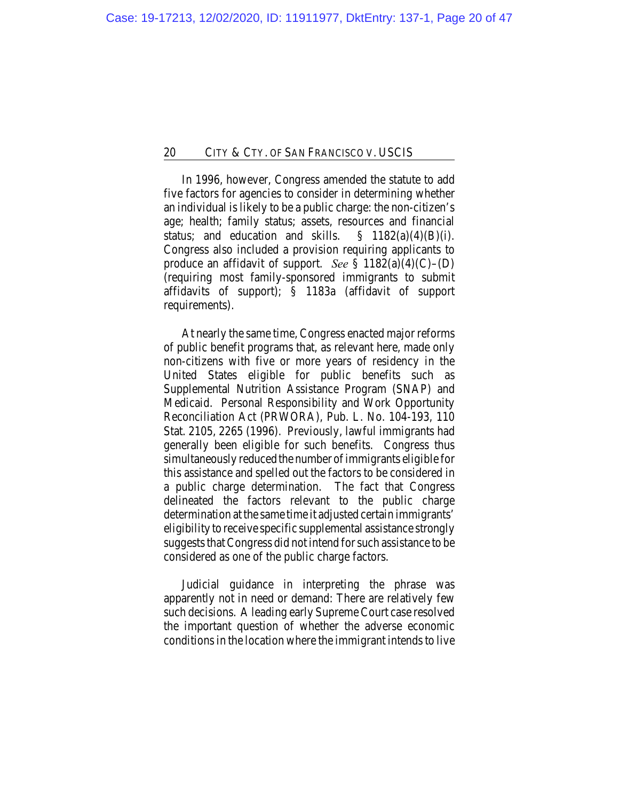In 1996, however, Congress amended the statute to add five factors for agencies to consider in determining whether an individual is likely to be a public charge: the non-citizen's age; health; family status; assets, resources and financial status; and education and skills.  $\S$  1182(a)(4)(B)(i). Congress also included a provision requiring applicants to produce an affidavit of support. *See* § 1182(a)(4)(C)–(D) (requiring most family-sponsored immigrants to submit affidavits of support); § 1183a (affidavit of support requirements).

At nearly the same time, Congress enacted major reforms of public benefit programs that, as relevant here, made only non-citizens with five or more years of residency in the United States eligible for public benefits such as Supplemental Nutrition Assistance Program (SNAP) and Medicaid. Personal Responsibility and Work Opportunity Reconciliation Act (PRWORA), Pub. L. No. 104-193, 110 Stat. 2105, 2265 (1996). Previously, lawful immigrants had generally been eligible for such benefits. Congress thus simultaneously reduced the number of immigrants eligible for this assistance and spelled out the factors to be considered in a public charge determination. The fact that Congress delineated the factors relevant to the public charge determination at the same time it adjusted certain immigrants' eligibility to receive specific supplemental assistance strongly suggests that Congress did not intend for such assistance to be considered as one of the public charge factors.

Judicial guidance in interpreting the phrase was apparently not in need or demand: There are relatively few such decisions. A leading early Supreme Court case resolved the important question of whether the adverse economic conditions in the location where the immigrant intends to live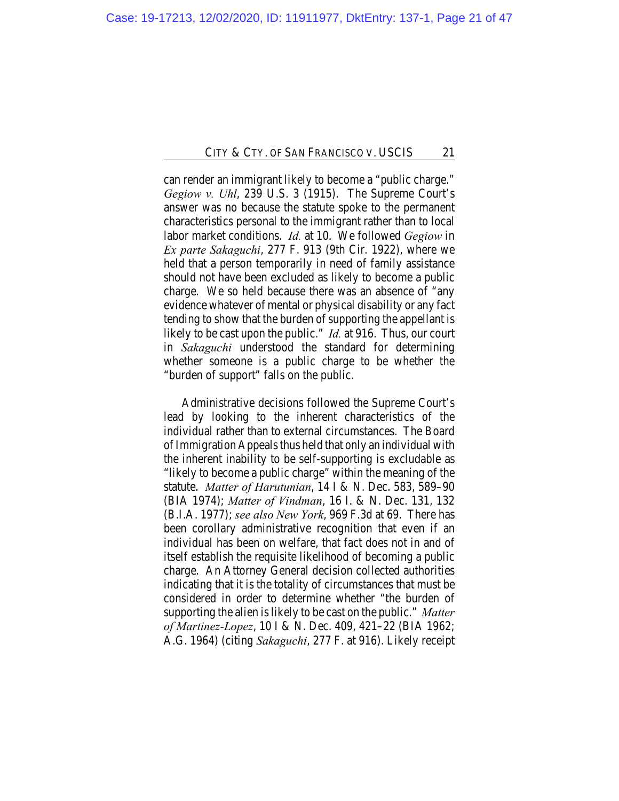can render an immigrant likely to become a "public charge." *Gegiow v. Uhl*, 239 U.S. 3 (1915). The Supreme Court's answer was no because the statute spoke to the permanent characteristics personal to the immigrant rather than to local labor market conditions. *Id.* at 10. We followed *Gegiow* in *Ex parte Sakaguchi*, 277 F. 913 (9th Cir. 1922), where we held that a person temporarily in need of family assistance should not have been excluded as likely to become a public charge. We so held because there was an absence of "any evidence whatever of mental or physical disability or any fact tending to show that the burden of supporting the appellant is likely to be cast upon the public." *Id.* at 916. Thus, our court in *Sakaguchi* understood the standard for determining whether someone is a public charge to be whether the "burden of support" falls on the public.

Administrative decisions followed the Supreme Court's lead by looking to the inherent characteristics of the individual rather than to external circumstances. The Board of Immigration Appeals thus held that only an individual with the inherent inability to be self-supporting is excludable as "likely to become a public charge" within the meaning of the statute. *Matter of Harutunian*, 14 I & N. Dec. 583, 589–90 (BIA 1974); *Matter of Vindman*, 16 I. & N. Dec. 131, 132 (B.I.A. 1977); *see also New York*, 969 F.3d at 69. There has been corollary administrative recognition that even if an individual has been on welfare, that fact does not in and of itself establish the requisite likelihood of becoming a public charge. An Attorney General decision collected authorities indicating that it is the totality of circumstances that must be considered in order to determine whether "the burden of supporting the alien is likely to be cast on the public." *Matter of Martinez-Lopez*, 10 I & N. Dec. 409, 421–22 (BIA 1962; A.G. 1964) (citing *Sakaguchi*, 277 F. at 916). Likely receipt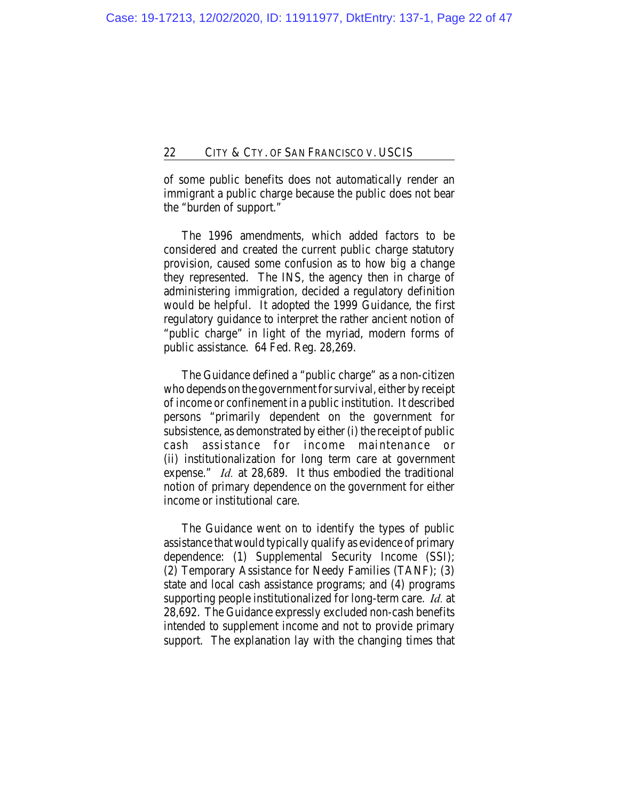of some public benefits does not automatically render an immigrant a public charge because the public does not bear the "burden of support."

The 1996 amendments, which added factors to be considered and created the current public charge statutory provision, caused some confusion as to how big a change they represented. The INS, the agency then in charge of administering immigration, decided a regulatory definition would be helpful. It adopted the 1999 Guidance, the first regulatory guidance to interpret the rather ancient notion of "public charge" in light of the myriad, modern forms of public assistance. 64 Fed. Reg. 28,269.

The Guidance defined a "public charge" as a non-citizen who depends on the government for survival, either by receipt of income or confinement in a public institution. It described persons "primarily dependent on the government for subsistence, as demonstrated by either (i) the receipt of public cash assistance for income maintenance or (ii) institutionalization for long term care at government expense." *Id.* at 28,689. It thus embodied the traditional notion of primary dependence on the government for either income or institutional care.

The Guidance went on to identify the types of public assistance that would typically qualify as evidence of primary dependence: (1) Supplemental Security Income (SSI); (2) Temporary Assistance for Needy Families (TANF); (3) state and local cash assistance programs; and (4) programs supporting people institutionalized for long-term care. *Id.* at 28,692. The Guidance expressly excluded non-cash benefits intended to supplement income and not to provide primary support. The explanation lay with the changing times that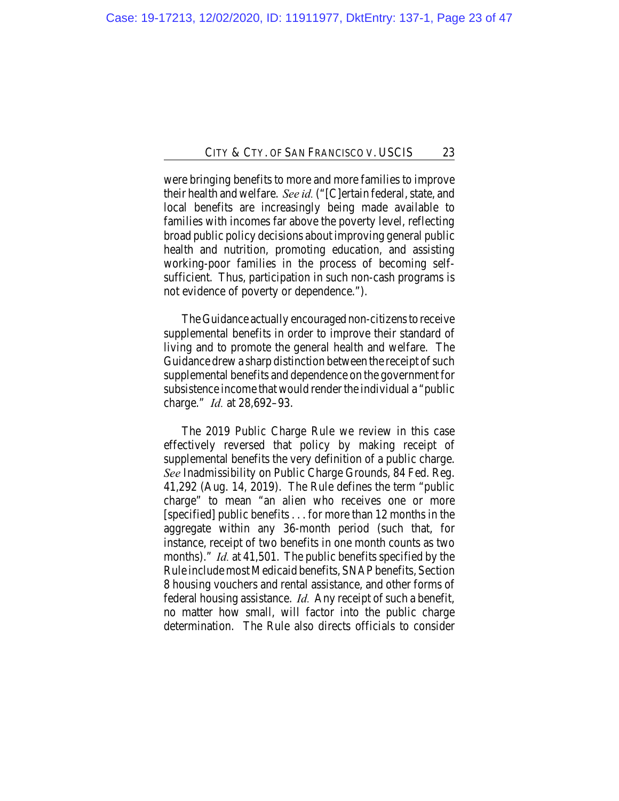were bringing benefits to more and more families to improve their health and welfare. *See id.* ("[C]ertain federal, state, and local benefits are increasingly being made available to families with incomes far above the poverty level, reflecting broad public policy decisions about improving general public health and nutrition, promoting education, and assisting working-poor families in the process of becoming selfsufficient. Thus, participation in such non-cash programs is not evidence of poverty or dependence.").

The Guidance actually encouraged non-citizens to receive supplemental benefits in order to improve their standard of living and to promote the general health and welfare. The Guidance drew a sharp distinction between the receipt of such supplemental benefits and dependence on the government for subsistence income that would render the individual a "public charge." *Id.* at 28,692–93.

The 2019 Public Charge Rule we review in this case effectively reversed that policy by making receipt of supplemental benefits the very definition of a public charge. *See* Inadmissibility on Public Charge Grounds, 84 Fed. Reg. 41,292 (Aug. 14, 2019). The Rule defines the term "public charge" to mean "an alien who receives one or more [specified] public benefits . . . for more than 12 months in the aggregate within any 36-month period (such that, for instance, receipt of two benefits in one month counts as two months)." *Id.* at 41,501. The public benefits specified by the Rule include most Medicaid benefits, SNAP benefits, Section 8 housing vouchers and rental assistance, and other forms of federal housing assistance. *Id.* Any receipt of such a benefit, no matter how small, will factor into the public charge determination. The Rule also directs officials to consider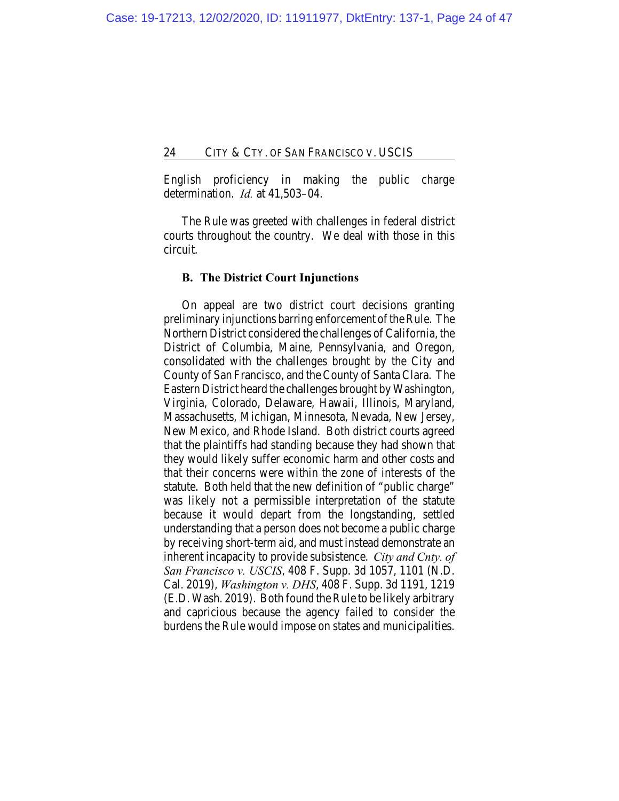English proficiency in making the public charge determination. *Id.* at 41,503–04.

The Rule was greeted with challenges in federal district courts throughout the country. We deal with those in this circuit.

## **B. The District Court Injunctions**

On appeal are two district court decisions granting preliminary injunctions barring enforcement of the Rule. The Northern District considered the challenges of California, the District of Columbia, Maine, Pennsylvania, and Oregon, consolidated with the challenges brought by the City and County of San Francisco, and the County of Santa Clara. The Eastern District heard the challenges brought by Washington, Virginia, Colorado, Delaware, Hawaii, Illinois, Maryland, Massachusetts, Michigan, Minnesota, Nevada, New Jersey, New Mexico, and Rhode Island. Both district courts agreed that the plaintiffs had standing because they had shown that they would likely suffer economic harm and other costs and that their concerns were within the zone of interests of the statute. Both held that the new definition of "public charge" was likely not a permissible interpretation of the statute because it would depart from the longstanding, settled understanding that a person does not become a public charge by receiving short-term aid, and must instead demonstrate an inherent incapacity to provide subsistence. *City and Cnty. of San Francisco v. USCIS*, 408 F. Supp. 3d 1057, 1101 (N.D. Cal. 2019), *Washington v. DHS*, 408 F. Supp. 3d 1191, 1219 (E.D. Wash. 2019). Both found the Rule to be likely arbitrary and capricious because the agency failed to consider the burdens the Rule would impose on states and municipalities.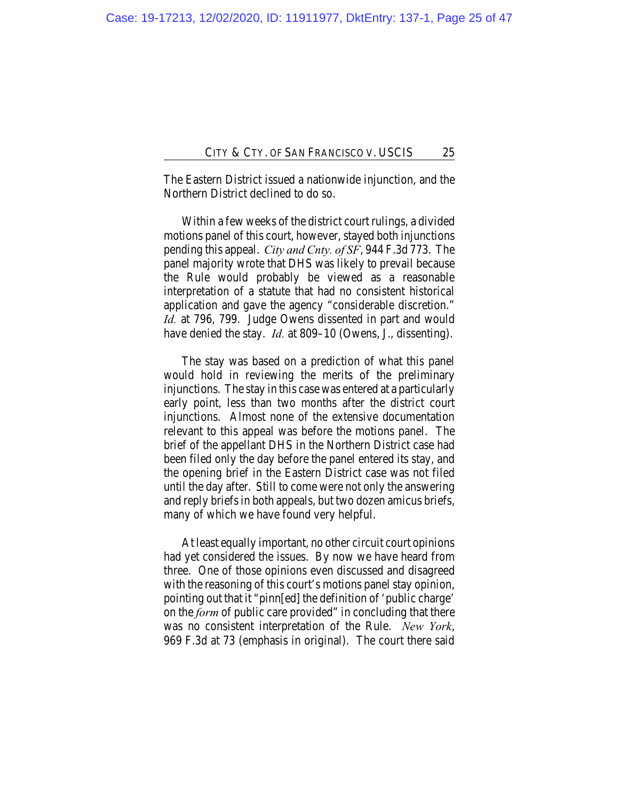The Eastern District issued a nationwide injunction, and the Northern District declined to do so.

Within a few weeks of the district court rulings, a divided motions panel of this court, however, stayed both injunctions pending this appeal. *City and Cnty. of SF*, 944 F.3d 773. The panel majority wrote that DHS was likely to prevail because the Rule would probably be viewed as a reasonable interpretation of a statute that had no consistent historical application and gave the agency "considerable discretion." *Id.* at 796, 799. Judge Owens dissented in part and would have denied the stay. *Id.* at 809–10 (Owens, J., dissenting).

The stay was based on a prediction of what this panel would hold in reviewing the merits of the preliminary injunctions. The stay in this case was entered at a particularly early point, less than two months after the district court injunctions. Almost none of the extensive documentation relevant to this appeal was before the motions panel. The brief of the appellant DHS in the Northern District case had been filed only the day before the panel entered its stay, and the opening brief in the Eastern District case was not filed until the day after. Still to come were not only the answering and reply briefs in both appeals, but two dozen amicus briefs, many of which we have found very helpful.

At least equally important, no other circuit court opinions had yet considered the issues. By now we have heard from three. One of those opinions even discussed and disagreed with the reasoning of this court's motions panel stay opinion, pointing out that it "pinn[ed] the definition of 'public charge' on the *form* of public care provided" in concluding that there was no consistent interpretation of the Rule. *New York*, 969 F.3d at 73 (emphasis in original). The court there said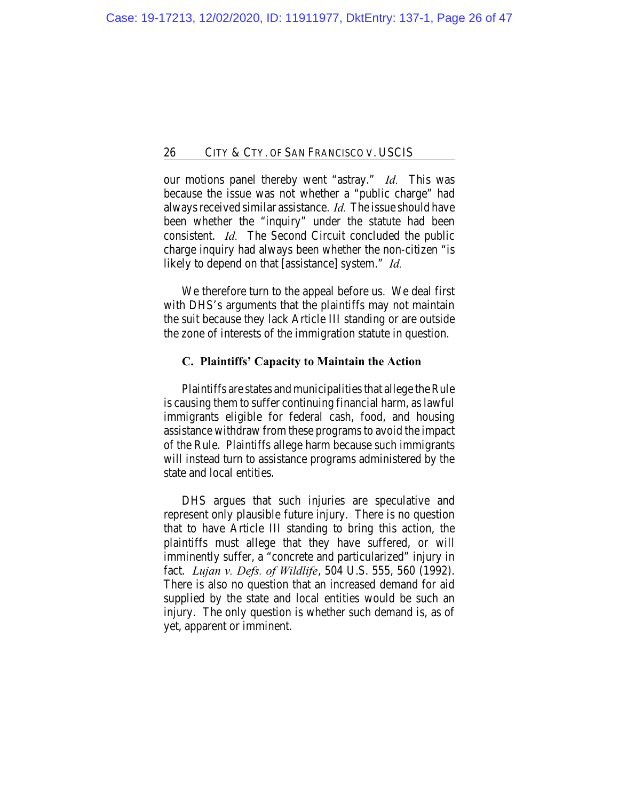our motions panel thereby went "astray." *Id.* This was because the issue was not whether a "public charge" had always received similar assistance. *Id.* The issue should have been whether the "inquiry" under the statute had been consistent. *Id.* The Second Circuit concluded the public charge inquiry had always been whether the non-citizen "is likely to depend on that [assistance] system." *Id.*

We therefore turn to the appeal before us. We deal first with DHS's arguments that the plaintiffs may not maintain the suit because they lack Article III standing or are outside the zone of interests of the immigration statute in question.

# **C. Plaintiffs' Capacity to Maintain the Action**

Plaintiffs are states and municipalities that allege the Rule is causing them to suffer continuing financial harm, as lawful immigrants eligible for federal cash, food, and housing assistance withdraw from these programs to avoid the impact of the Rule. Plaintiffs allege harm because such immigrants will instead turn to assistance programs administered by the state and local entities.

DHS argues that such injuries are speculative and represent only plausible future injury. There is no question that to have Article III standing to bring this action, the plaintiffs must allege that they have suffered, or will imminently suffer, a "concrete and particularized" injury in fact. *Lujan v. Defs. of Wildlife*, 504 U.S. 555, 560 (1992). There is also no question that an increased demand for aid supplied by the state and local entities would be such an injury. The only question is whether such demand is, as of yet, apparent or imminent.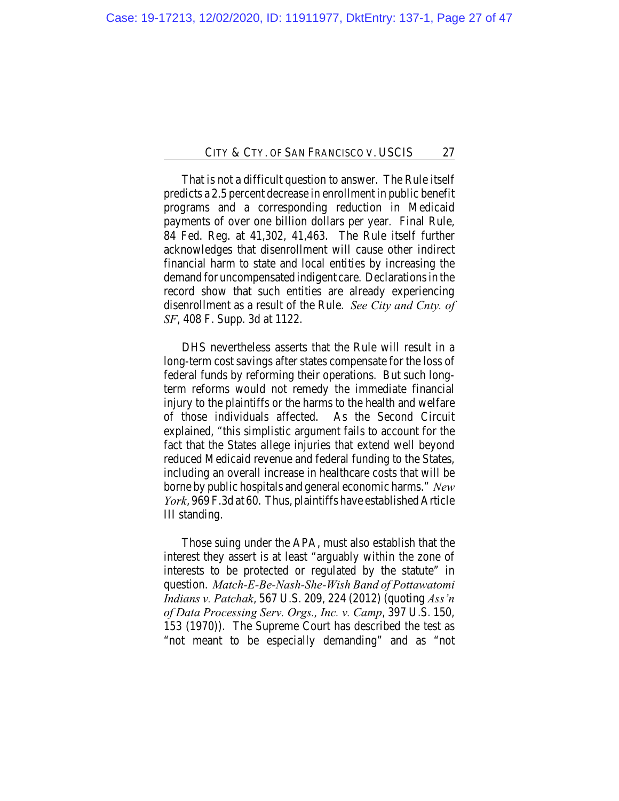That is not a difficult question to answer. The Rule itself predicts a 2.5 percent decrease in enrollment in public benefit programs and a corresponding reduction in Medicaid payments of over one billion dollars per year. Final Rule, 84 Fed. Reg. at 41,302, 41,463. The Rule itself further acknowledges that disenrollment will cause other indirect financial harm to state and local entities by increasing the demand for uncompensated indigent care. Declarations in the record show that such entities are already experiencing disenrollment as a result of the Rule. *See City and Cnty. of SF*, 408 F. Supp. 3d at 1122.

DHS nevertheless asserts that the Rule will result in a long-term cost savings after states compensate for the loss of federal funds by reforming their operations. But such longterm reforms would not remedy the immediate financial injury to the plaintiffs or the harms to the health and welfare of those individuals affected. As the Second Circuit explained, "this simplistic argument fails to account for the fact that the States allege injuries that extend well beyond reduced Medicaid revenue and federal funding to the States, including an overall increase in healthcare costs that will be borne by public hospitals and general economic harms." *New York*, 969 F.3d at 60. Thus, plaintiffs have established Article III standing.

Those suing under the APA, must also establish that the interest they assert is at least "arguably within the zone of interests to be protected or regulated by the statute" in question. *Match-E-Be-Nash-She-Wish Band of Pottawatomi Indians v. Patchak*, 567 U.S. 209, 224 (2012) (quoting *Ass'n of Data Processing Serv. Orgs., Inc. v. Camp*, 397 U.S. 150, 153 (1970)). The Supreme Court has described the test as "not meant to be especially demanding" and as "not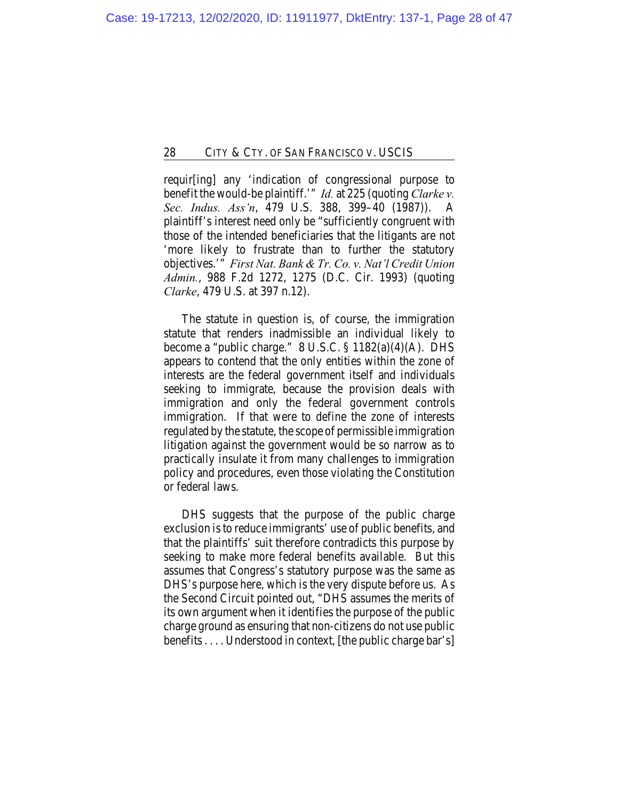requir[ing] any 'indication of congressional purpose to benefit the would-be plaintiff.'" *Id.* at 225 (quoting *Clarke v. Sec. Indus. Ass'n*, 479 U.S. 388, 399–40 (1987)). A plaintiff's interest need only be "sufficiently congruent with those of the intended beneficiaries that the litigants are not 'more likely to frustrate than to further the statutory objectives.'" *First Nat. Bank & Tr. Co. v. Nat'l Credit Union Admin.*, 988 F.2d 1272, 1275 (D.C. Cir. 1993) (quoting *Clarke*, 479 U.S. at 397 n.12).

The statute in question is, of course, the immigration statute that renders inadmissible an individual likely to become a "public charge." 8 U.S.C. § 1182(a)(4)(A). DHS appears to contend that the only entities within the zone of interests are the federal government itself and individuals seeking to immigrate, because the provision deals with immigration and only the federal government controls immigration. If that were to define the zone of interests regulated by the statute, the scope of permissible immigration litigation against the government would be so narrow as to practically insulate it from many challenges to immigration policy and procedures, even those violating the Constitution or federal laws.

DHS suggests that the purpose of the public charge exclusion is to reduce immigrants' use of public benefits, and that the plaintiffs' suit therefore contradicts this purpose by seeking to make more federal benefits available. But this assumes that Congress's statutory purpose was the same as DHS's purpose here, which is the very dispute before us. As the Second Circuit pointed out, "DHS assumes the merits of its own argument when it identifies the purpose of the public charge ground as ensuring that non-citizens do not use public benefits . . . . Understood in context, [the public charge bar's]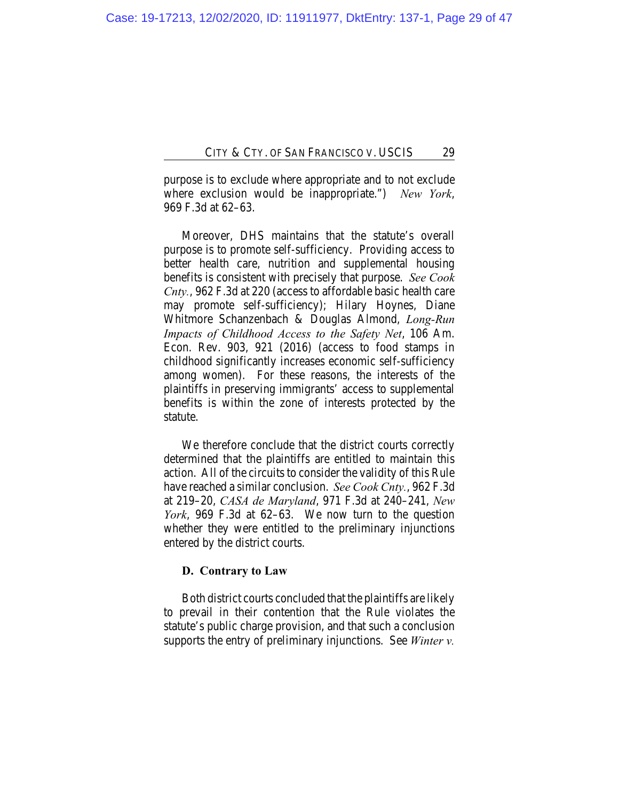purpose is to exclude where appropriate and to not exclude where exclusion would be inappropriate.") *New York*, 969 F.3d at 62–63.

Moreover, DHS maintains that the statute's overall purpose is to promote self-sufficiency. Providing access to better health care, nutrition and supplemental housing benefits is consistent with precisely that purpose. *See Cook Cnty.*, 962 F.3d at 220 (access to affordable basic health care may promote self-sufficiency); Hilary Hoynes, Diane Whitmore Schanzenbach & Douglas Almond, *Long-Run Impacts of Childhood Access to the Safety Net*, 106 Am. Econ. Rev. 903, 921 (2016) (access to food stamps in childhood significantly increases economic self-sufficiency among women). For these reasons, the interests of the plaintiffs in preserving immigrants' access to supplemental benefits is within the zone of interests protected by the statute.

We therefore conclude that the district courts correctly determined that the plaintiffs are entitled to maintain this action. All of the circuits to consider the validity of this Rule have reached a similar conclusion. *See Cook Cnty.*, 962 F.3d at 219–20, *CASA de Maryland*, 971 F.3d at 240–241, *New York*, 969 F.3d at 62–63. We now turn to the question whether they were entitled to the preliminary injunctions entered by the district courts.

## **D. Contrary to Law**

Both district courts concluded that the plaintiffs are likely to prevail in their contention that the Rule violates the statute's public charge provision, and that such a conclusion supports the entry of preliminary injunctions. See *Winter v.*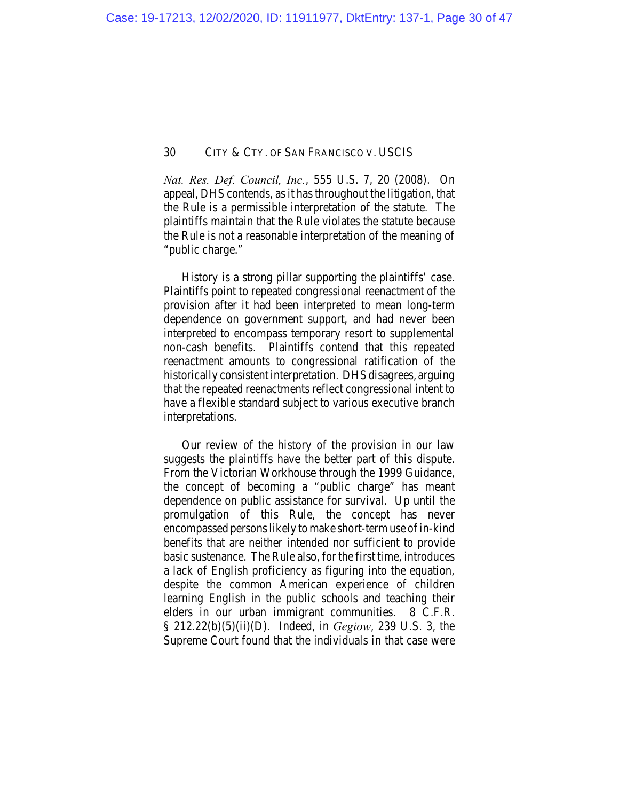*Nat. Res. Def. Council, Inc.*, 555 U.S. 7, 20 (2008). On appeal, DHS contends, as it has throughout the litigation, that the Rule is a permissible interpretation of the statute. The plaintiffs maintain that the Rule violates the statute because the Rule is not a reasonable interpretation of the meaning of "public charge."

History is a strong pillar supporting the plaintiffs' case. Plaintiffs point to repeated congressional reenactment of the provision after it had been interpreted to mean long-term dependence on government support, and had never been interpreted to encompass temporary resort to supplemental non-cash benefits. Plaintiffs contend that this repeated reenactment amounts to congressional ratification of the historically consistent interpretation. DHS disagrees, arguing that the repeated reenactments reflect congressional intent to have a flexible standard subject to various executive branch interpretations.

Our review of the history of the provision in our law suggests the plaintiffs have the better part of this dispute. From the Victorian Workhouse through the 1999 Guidance, the concept of becoming a "public charge" has meant dependence on public assistance for survival. Up until the promulgation of this Rule, the concept has never encompassed persons likely to make short-term use of in-kind benefits that are neither intended nor sufficient to provide basic sustenance. The Rule also, for the first time, introduces a lack of English proficiency as figuring into the equation, despite the common American experience of children learning English in the public schools and teaching their elders in our urban immigrant communities. 8 C.F.R. § 212.22(b)(5)(ii)(D). Indeed, in *Gegiow*, 239 U.S. 3, the Supreme Court found that the individuals in that case were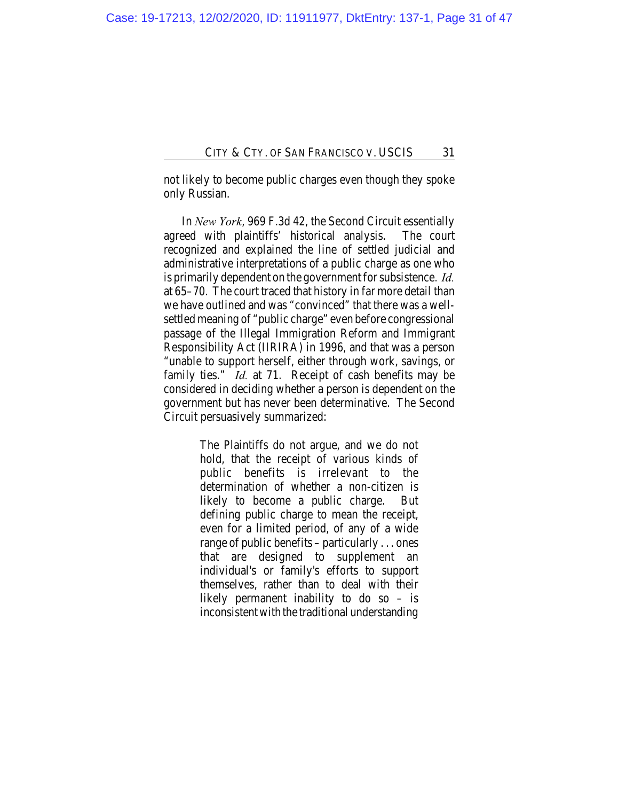not likely to become public charges even though they spoke only Russian.

In *New York*, 969 F.3d 42, the Second Circuit essentially agreed with plaintiffs' historical analysis. The court recognized and explained the line of settled judicial and administrative interpretations of a public charge as one who is primarily dependent on the government for subsistence. *Id.* at 65–70. The court traced that history in far more detail than we have outlined and was "convinced" that there was a wellsettled meaning of "public charge" even before congressional passage of the Illegal Immigration Reform and Immigrant Responsibility Act (IIRIRA) in 1996, and that was a person "unable to support herself, either through work, savings, or family ties." *Id.* at 71. Receipt of cash benefits may be considered in deciding whether a person is dependent on the government but has never been determinative. The Second Circuit persuasively summarized:

> The Plaintiffs do not argue, and we do not hold, that the receipt of various kinds of public benefits is irrelevant to the determination of whether a non-citizen is likely to become a public charge. But defining public charge to mean the receipt, even for a limited period, of any of a wide range of public benefits – particularly . . . ones that are designed to supplement an individual's or family's efforts to support themselves, rather than to deal with their likely permanent inability to do so – is inconsistent with the traditional understanding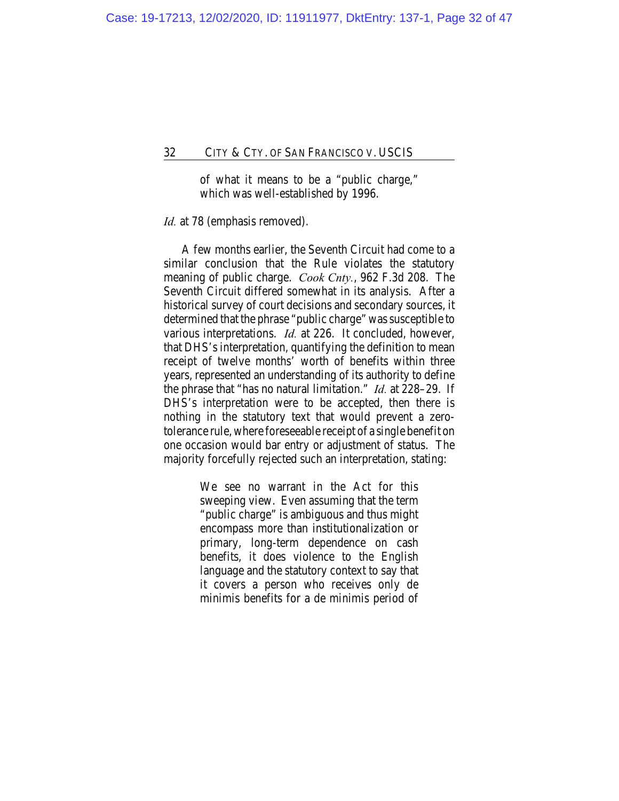of what it means to be a "public charge," which was well-established by 1996.

## *Id.* at 78 (emphasis removed).

A few months earlier, the Seventh Circuit had come to a similar conclusion that the Rule violates the statutory meaning of public charge. *Cook Cnty.*, 962 F.3d 208. The Seventh Circuit differed somewhat in its analysis. After a historical survey of court decisions and secondary sources, it determined that the phrase "public charge" was susceptible to various interpretations. *Id.* at 226. It concluded, however, that DHS's interpretation, quantifying the definition to mean receipt of twelve months' worth of benefits within three years, represented an understanding of its authority to define the phrase that "has no natural limitation." *Id.* at 228–29. If DHS's interpretation were to be accepted, then there is nothing in the statutory text that would prevent a zerotolerance rule, where foreseeable receipt of a single benefit on one occasion would bar entry or adjustment of status. The majority forcefully rejected such an interpretation, stating:

> We see no warrant in the Act for this sweeping view. Even assuming that the term "public charge" is ambiguous and thus might encompass more than institutionalization or primary, long-term dependence on cash benefits, it does violence to the English language and the statutory context to say that it covers a person who receives only de minimis benefits for a de minimis period of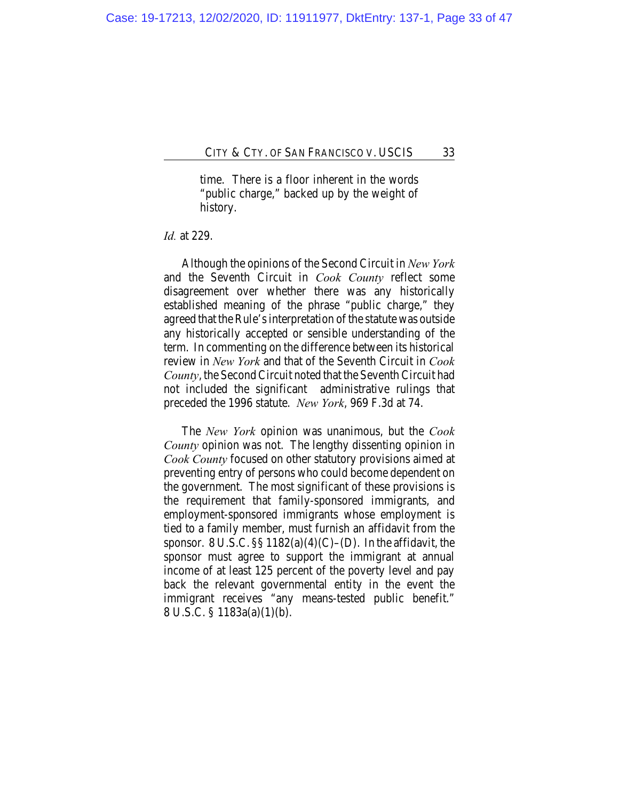time. There is a floor inherent in the words "public charge," backed up by the weight of history.

## *Id.* at 229.

Although the opinions of the Second Circuit in *New York* and the Seventh Circuit in *Cook County* reflect some disagreement over whether there was any historically established meaning of the phrase "public charge," they agreed that the Rule's interpretation of the statute was outside any historically accepted or sensible understanding of the term. In commenting on the difference between its historical review in *New York* and that of the Seventh Circuit in *Cook County*, the Second Circuit noted that the Seventh Circuit had not included the significant administrative rulings that preceded the 1996 statute. *New York*, 969 F.3d at 74.

The *New York* opinion was unanimous, but the *Cook County* opinion was not. The lengthy dissenting opinion in *Cook County* focused on other statutory provisions aimed at preventing entry of persons who could become dependent on the government. The most significant of these provisions is the requirement that family-sponsored immigrants, and employment-sponsored immigrants whose employment is tied to a family member, must furnish an affidavit from the sponsor. 8 U.S.C.  $\S$  1182(a)(4)(C)–(D). In the affidavit, the sponsor must agree to support the immigrant at annual income of at least 125 percent of the poverty level and pay back the relevant governmental entity in the event the immigrant receives "any means-tested public benefit." 8 U.S.C. § 1183a(a)(1)(b).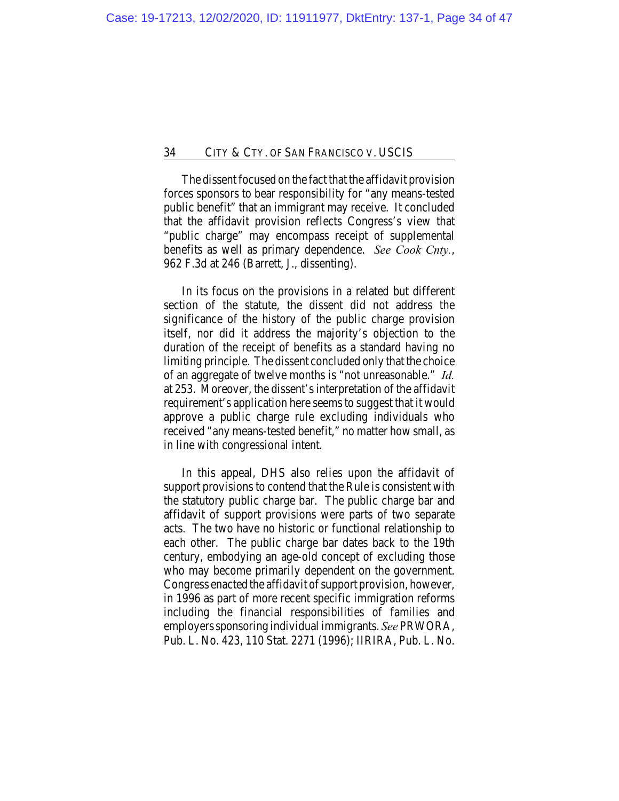The dissent focused on the fact that the affidavit provision forces sponsors to bear responsibility for "any means-tested public benefit" that an immigrant may receive. It concluded that the affidavit provision reflects Congress's view that "public charge" may encompass receipt of supplemental benefits as well as primary dependence. *See Cook Cnty.*, 962 F.3d at 246 (Barrett, J., dissenting).

In its focus on the provisions in a related but different section of the statute, the dissent did not address the significance of the history of the public charge provision itself, nor did it address the majority's objection to the duration of the receipt of benefits as a standard having no limiting principle. The dissent concluded only that the choice of an aggregate of twelve months is "not unreasonable." *Id.* at 253. Moreover, the dissent's interpretation of the affidavit requirement's application here seems to suggest that it would approve a public charge rule excluding individuals who received "any means-tested benefit," no matter how small, as in line with congressional intent.

In this appeal, DHS also relies upon the affidavit of support provisions to contend that the Rule is consistent with the statutory public charge bar. The public charge bar and affidavit of support provisions were parts of two separate acts. The two have no historic or functional relationship to each other. The public charge bar dates back to the 19th century, embodying an age-old concept of excluding those who may become primarily dependent on the government. Congress enacted the affidavit of support provision, however, in 1996 as part of more recent specific immigration reforms including the financial responsibilities of families and employers sponsoring individual immigrants. *See* PRWORA, Pub. L. No. 423, 110 Stat. 2271 (1996); IIRIRA, Pub. L. No.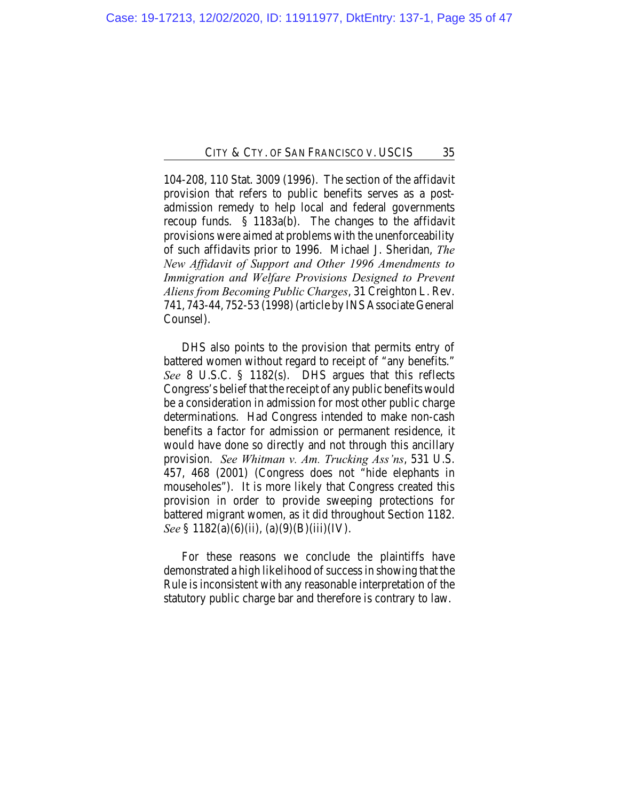104-208, 110 Stat. 3009 (1996). The section of the affidavit provision that refers to public benefits serves as a postadmission remedy to help local and federal governments recoup funds. § 1183a(b). The changes to the affidavit provisions were aimed at problems with the unenforceability of such affidavits prior to 1996. Michael J. Sheridan, *The New Affidavit of Support and Other 1996 Amendments to Immigration and Welfare Provisions Designed to Prevent Aliens from Becoming Public Charges*, 31 Creighton L. Rev. 741, 743-44, 752-53 (1998) (article by INS Associate General Counsel).

DHS also points to the provision that permits entry of battered women without regard to receipt of "any benefits." *See* 8 U.S.C. § 1182(s). DHS argues that this reflects Congress's belief that the receipt of any public benefits would be a consideration in admission for most other public charge determinations. Had Congress intended to make non-cash benefits a factor for admission or permanent residence, it would have done so directly and not through this ancillary provision. *See Whitman v. Am. Trucking Ass'ns*, 531 U.S. 457, 468 (2001) (Congress does not "hide elephants in mouseholes"). It is more likely that Congress created this provision in order to provide sweeping protections for battered migrant women, as it did throughout Section 1182. *See* § 1182(a)(6)(ii), (a)(9)(B)(iii)(IV).

For these reasons we conclude the plaintiffs have demonstrated a high likelihood of success in showing that the Rule is inconsistent with any reasonable interpretation of the statutory public charge bar and therefore is contrary to law.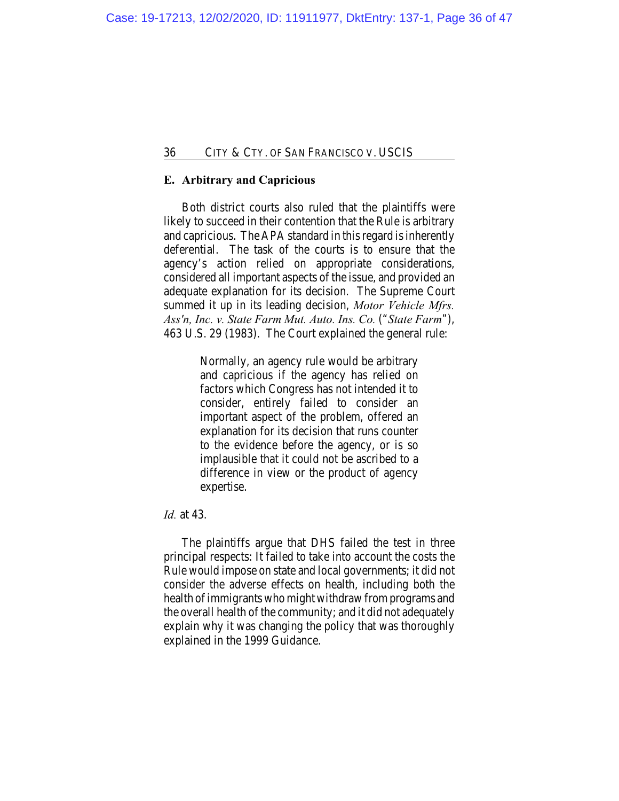## **E. Arbitrary and Capricious**

Both district courts also ruled that the plaintiffs were likely to succeed in their contention that the Rule is arbitrary and capricious. The APA standard in this regard is inherently deferential. The task of the courts is to ensure that the agency's action relied on appropriate considerations, considered all important aspects of the issue, and provided an adequate explanation for its decision. The Supreme Court summed it up in its leading decision, *Motor Vehicle Mfrs. Ass'n, Inc. v. State Farm Mut. Auto. Ins. Co.* ("*State Farm*"), 463 U.S. 29 (1983). The Court explained the general rule:

> Normally, an agency rule would be arbitrary and capricious if the agency has relied on factors which Congress has not intended it to consider, entirely failed to consider an important aspect of the problem, offered an explanation for its decision that runs counter to the evidence before the agency, or is so implausible that it could not be ascribed to a difference in view or the product of agency expertise.

#### *Id.* at 43.

The plaintiffs argue that DHS failed the test in three principal respects: It failed to take into account the costs the Rule would impose on state and local governments; it did not consider the adverse effects on health, including both the health of immigrants who might withdraw from programs and the overall health of the community; and it did not adequately explain why it was changing the policy that was thoroughly explained in the 1999 Guidance.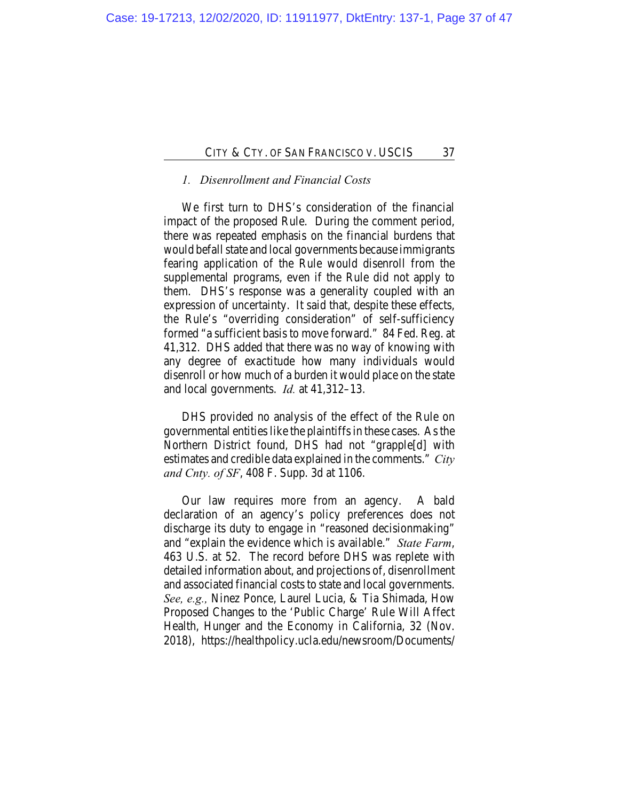# *1. Disenrollment and Financial Costs*

We first turn to DHS's consideration of the financial impact of the proposed Rule. During the comment period, there was repeated emphasis on the financial burdens that would befall state and local governments because immigrants fearing application of the Rule would disenroll from the supplemental programs, even if the Rule did not apply to them. DHS's response was a generality coupled with an expression of uncertainty. It said that, despite these effects, the Rule's "overriding consideration" of self-sufficiency formed "a sufficient basis to move forward." 84 Fed. Reg. at 41,312. DHS added that there was no way of knowing with any degree of exactitude how many individuals would disenroll or how much of a burden it would place on the state and local governments. *Id.* at 41,312–13.

DHS provided no analysis of the effect of the Rule on governmental entities like the plaintiffs in these cases. As the Northern District found, DHS had not "grapple[d] with estimates and credible data explained in the comments." *City and Cnty. of SF*, 408 F. Supp. 3d at 1106.

Our law requires more from an agency. A bald declaration of an agency's policy preferences does not discharge its duty to engage in "reasoned decisionmaking" and "explain the evidence which is available." *State Farm*, 463 U.S. at 52. The record before DHS was replete with detailed information about, and projections of, disenrollment and associated financial costs to state and local governments. *See, e.g.,* Ninez Ponce, Laurel Lucia, & Tia Shimada, How Proposed Changes to the 'Public Charge' Rule Will Affect Health, Hunger and the Economy in California, 32 (Nov. 2018), https://healthpolicy.ucla.edu/newsroom/Documents/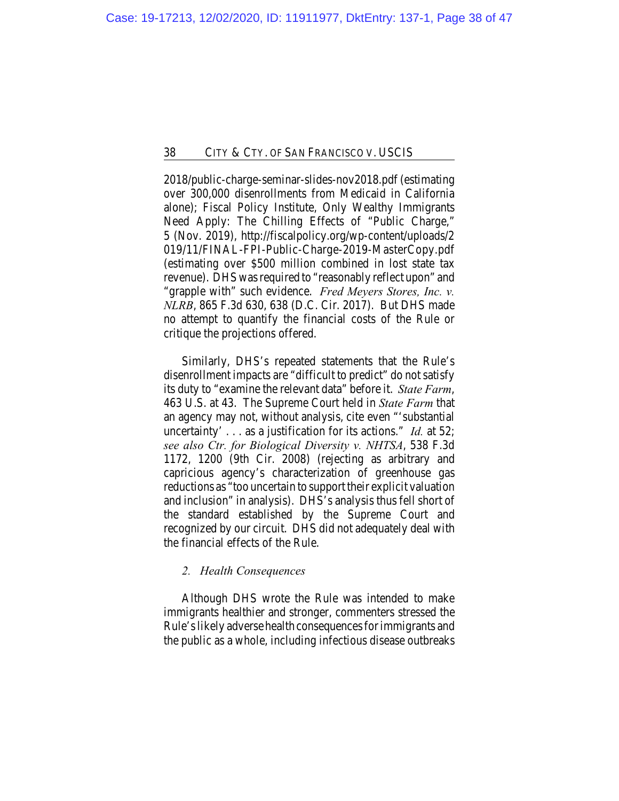2018/public-charge-seminar-slides-nov2018.pdf (estimating over 300,000 disenrollments from Medicaid in California alone); Fiscal Policy Institute, Only Wealthy Immigrants Need Apply: The Chilling Effects of "Public Charge," 5 (Nov. 2019), http://fiscalpolicy.org/wp-content/uploads/2 019/11/FINAL-FPI-Public-Charge-2019-MasterCopy.pdf (estimating over \$500 million combined in lost state tax revenue). DHS was required to "reasonably reflect upon" and "grapple with" such evidence. *Fred Meyers Stores, Inc. v. NLRB*, 865 F.3d 630, 638 (D.C. Cir. 2017). But DHS made no attempt to quantify the financial costs of the Rule or critique the projections offered.

Similarly, DHS's repeated statements that the Rule's disenrollment impacts are "difficult to predict" do not satisfy its duty to "examine the relevant data" before it. *State Farm*, 463 U.S. at 43. The Supreme Court held in *State Farm* that an agency may not, without analysis, cite even "'substantial uncertainty' . . . as a justification for its actions." *Id.* at 52; *see also Ctr. for Biological Diversity v. NHTSA*, 538 F.3d 1172, 1200 (9th Cir. 2008) (rejecting as arbitrary and capricious agency's characterization of greenhouse gas reductions as "too uncertain to support their explicit valuation and inclusion" in analysis). DHS's analysis thus fell short of the standard established by the Supreme Court and recognized by our circuit. DHS did not adequately deal with the financial effects of the Rule.

## *2. Health Consequences*

Although DHS wrote the Rule was intended to make immigrants healthier and stronger, commenters stressed the Rule's likely adverse health consequences for immigrants and the public as a whole, including infectious disease outbreaks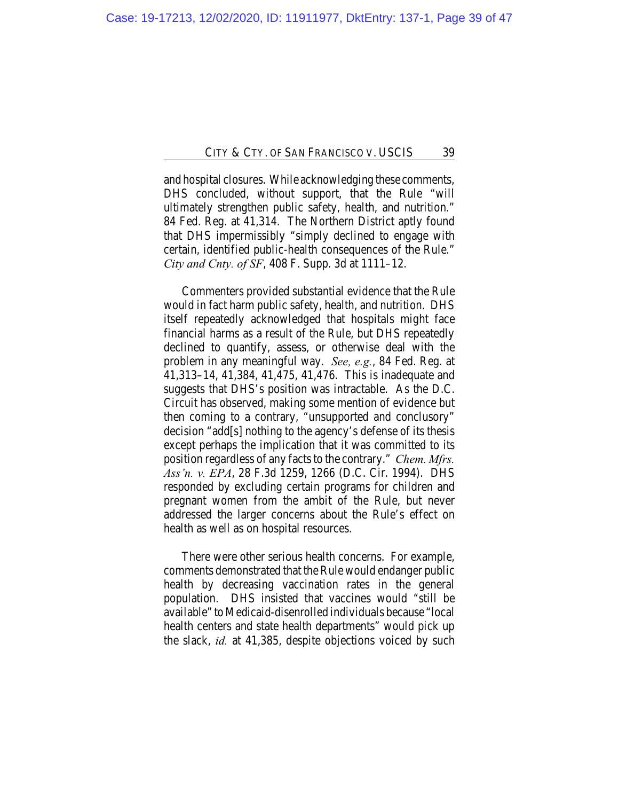and hospital closures. While acknowledging these comments, DHS concluded, without support, that the Rule "will ultimately strengthen public safety, health, and nutrition." 84 Fed. Reg. at 41,314. The Northern District aptly found that DHS impermissibly "simply declined to engage with certain, identified public-health consequences of the Rule." *City and Cnty. of SF*, 408 F. Supp. 3d at 1111–12.

Commenters provided substantial evidence that the Rule would in fact harm public safety, health, and nutrition. DHS itself repeatedly acknowledged that hospitals might face financial harms as a result of the Rule, but DHS repeatedly declined to quantify, assess, or otherwise deal with the problem in any meaningful way. *See, e.g.*, 84 Fed. Reg. at 41,313–14, 41,384, 41,475, 41,476. This is inadequate and suggests that DHS's position was intractable. As the D.C. Circuit has observed, making some mention of evidence but then coming to a contrary, "unsupported and conclusory" decision "add[s] nothing to the agency's defense of its thesis except perhaps the implication that it was committed to its position regardless of any facts to the contrary." *Chem. Mfrs. Ass'n. v. EPA*, 28 F.3d 1259, 1266 (D.C. Cir. 1994). DHS responded by excluding certain programs for children and pregnant women from the ambit of the Rule, but never addressed the larger concerns about the Rule's effect on health as well as on hospital resources.

There were other serious health concerns. For example, comments demonstrated that the Rule would endanger public health by decreasing vaccination rates in the general population. DHS insisted that vaccines would "still be available" to Medicaid-disenrolled individuals because "local health centers and state health departments" would pick up the slack, *id.* at 41,385, despite objections voiced by such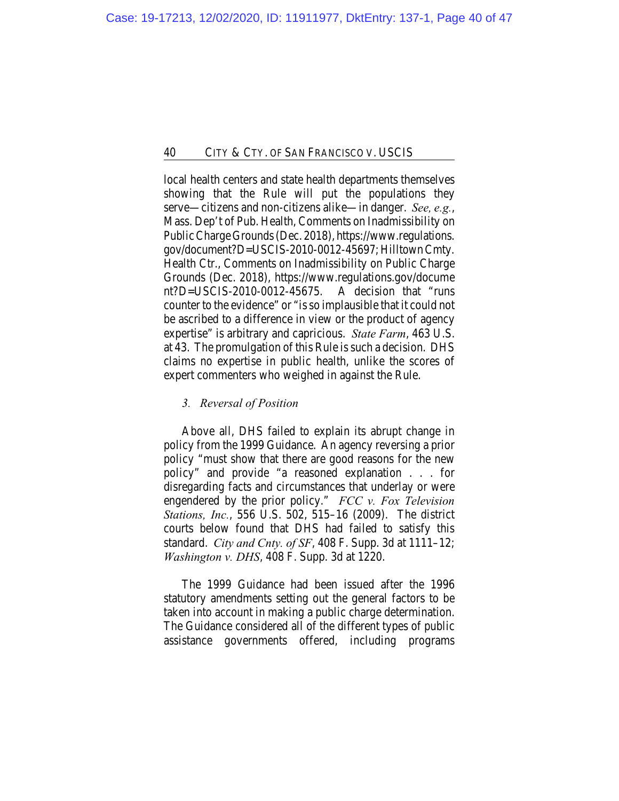local health centers and state health departments themselves showing that the Rule will put the populations they serve—citizens and non-citizens alike—in danger. *See, e.g.*, Mass. Dep't of Pub. Health, Comments on Inadmissibility on Public Charge Grounds (Dec. 2018), https://www.regulations. gov/document?D=USCIS-2010-0012-45697; Hilltown Cmty. Health Ctr., Comments on Inadmissibility on Public Charge Grounds (Dec. 2018), https://www.regulations.gov/docume nt?D=USCIS-2010-0012-45675. A decision that "runs counter to the evidence" or "is so implausible that it could not be ascribed to a difference in view or the product of agency expertise" is arbitrary and capricious. *State Farm*, 463 U.S. at 43. The promulgation of this Rule is such a decision. DHS claims no expertise in public health, unlike the scores of expert commenters who weighed in against the Rule.

## *3. Reversal of Position*

Above all, DHS failed to explain its abrupt change in policy from the 1999 Guidance. An agency reversing a prior policy "must show that there are good reasons for the new policy" and provide "a reasoned explanation . . . for disregarding facts and circumstances that underlay or were engendered by the prior policy." *FCC v. Fox Television Stations, Inc.*, 556 U.S. 502, 515–16 (2009). The district courts below found that DHS had failed to satisfy this standard. *City and Cnty. of SF*, 408 F. Supp. 3d at 1111–12; *Washington v. DHS*, 408 F. Supp. 3d at 1220.

The 1999 Guidance had been issued after the 1996 statutory amendments setting out the general factors to be taken into account in making a public charge determination. The Guidance considered all of the different types of public assistance governments offered, including programs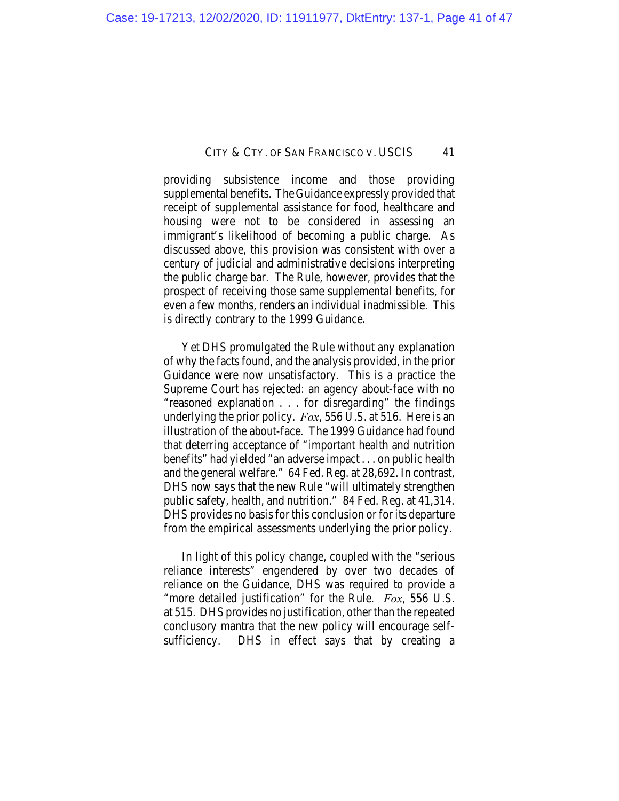providing subsistence income and those providing supplemental benefits. The Guidance expressly provided that receipt of supplemental assistance for food, healthcare and housing were not to be considered in assessing an immigrant's likelihood of becoming a public charge. As discussed above, this provision was consistent with over a century of judicial and administrative decisions interpreting the public charge bar. The Rule, however, provides that the prospect of receiving those same supplemental benefits, for even a few months, renders an individual inadmissible. This is directly contrary to the 1999 Guidance.

Yet DHS promulgated the Rule without any explanation of why the facts found, and the analysis provided, in the prior Guidance were now unsatisfactory. This is a practice the Supreme Court has rejected: an agency about-face with no "reasoned explanation . . . for disregarding" the findings underlying the prior policy. *Fox*, 556 U.S. at 516. Here is an illustration of the about-face. The 1999 Guidance had found that deterring acceptance of "important health and nutrition benefits" had yielded "an adverse impact . . . on public health and the general welfare." 64 Fed. Reg. at 28,692. In contrast, DHS now says that the new Rule "will ultimately strengthen public safety, health, and nutrition." 84 Fed. Reg. at 41,314. DHS provides no basis for this conclusion or for its departure from the empirical assessments underlying the prior policy.

In light of this policy change, coupled with the "serious reliance interests" engendered by over two decades of reliance on the Guidance, DHS was required to provide a "more detailed justification" for the Rule. *Fox*, 556 U.S. at 515. DHS provides no justification, other than the repeated conclusory mantra that the new policy will encourage selfsufficiency. DHS in effect says that by creating a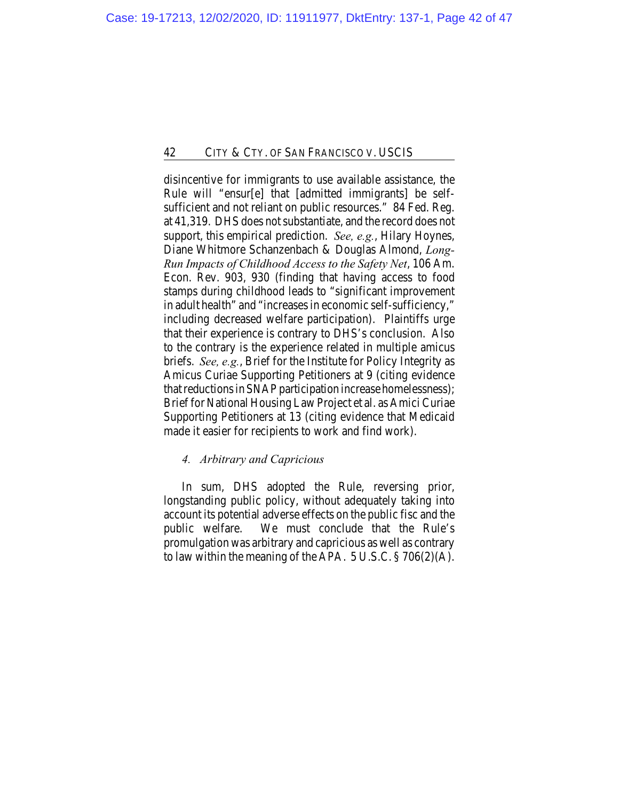disincentive for immigrants to use available assistance, the Rule will "ensur[e] that [admitted immigrants] be selfsufficient and not reliant on public resources." 84 Fed. Reg. at 41,319. DHS does not substantiate, and the record does not support, this empirical prediction. *See, e.g.*, Hilary Hoynes, Diane Whitmore Schanzenbach & Douglas Almond, *Long-Run Impacts of Childhood Access to the Safety Net*, 106 Am. Econ. Rev. 903, 930 (finding that having access to food stamps during childhood leads to "significant improvement in adult health" and "increases in economic self-sufficiency," including decreased welfare participation). Plaintiffs urge that their experience is contrary to DHS's conclusion. Also to the contrary is the experience related in multiple amicus briefs. *See, e.g.*, Brief for the Institute for Policy Integrity as Amicus Curiae Supporting Petitioners at 9 (citing evidence that reductions in SNAP participation increase homelessness); Brief for National Housing Law Project et al. as Amici Curiae Supporting Petitioners at 13 (citing evidence that Medicaid made it easier for recipients to work and find work).

## *4. Arbitrary and Capricious*

In sum, DHS adopted the Rule, reversing prior, longstanding public policy, without adequately taking into account its potential adverse effects on the public fisc and the public welfare. We must conclude that the Rule's promulgation was arbitrary and capricious as well as contrary to law within the meaning of the APA.  $5 \text{ U.S.C.} \$   $\frac{8}{206(2)}$ (A).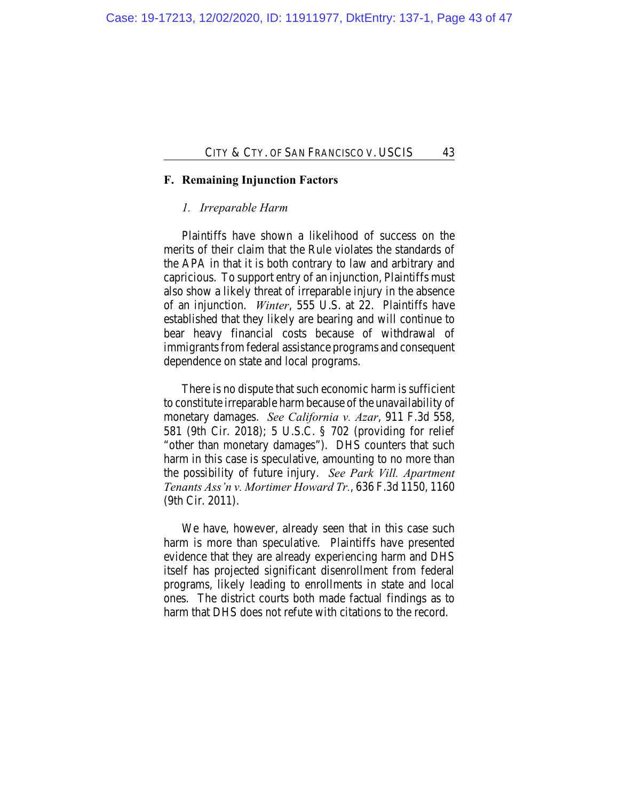### **F. Remaining Injunction Factors**

#### *1. Irreparable Harm*

Plaintiffs have shown a likelihood of success on the merits of their claim that the Rule violates the standards of the APA in that it is both contrary to law and arbitrary and capricious. To support entry of an injunction, Plaintiffs must also show a likely threat of irreparable injury in the absence of an injunction. *Winter*, 555 U.S. at 22. Plaintiffs have established that they likely are bearing and will continue to bear heavy financial costs because of withdrawal of immigrants from federal assistance programs and consequent dependence on state and local programs.

There is no dispute that such economic harm is sufficient to constitute irreparable harm because of the unavailability of monetary damages. *See California v. Azar*, 911 F.3d 558, 581 (9th Cir. 2018); 5 U.S.C. § 702 (providing for relief "other than monetary damages"). DHS counters that such harm in this case is speculative, amounting to no more than the possibility of future injury. *See Park Vill. Apartment Tenants Ass'n v. Mortimer Howard Tr.*, 636 F.3d 1150, 1160 (9th Cir. 2011).

We have, however, already seen that in this case such harm is more than speculative. Plaintiffs have presented evidence that they are already experiencing harm and DHS itself has projected significant disenrollment from federal programs, likely leading to enrollments in state and local ones. The district courts both made factual findings as to harm that DHS does not refute with citations to the record.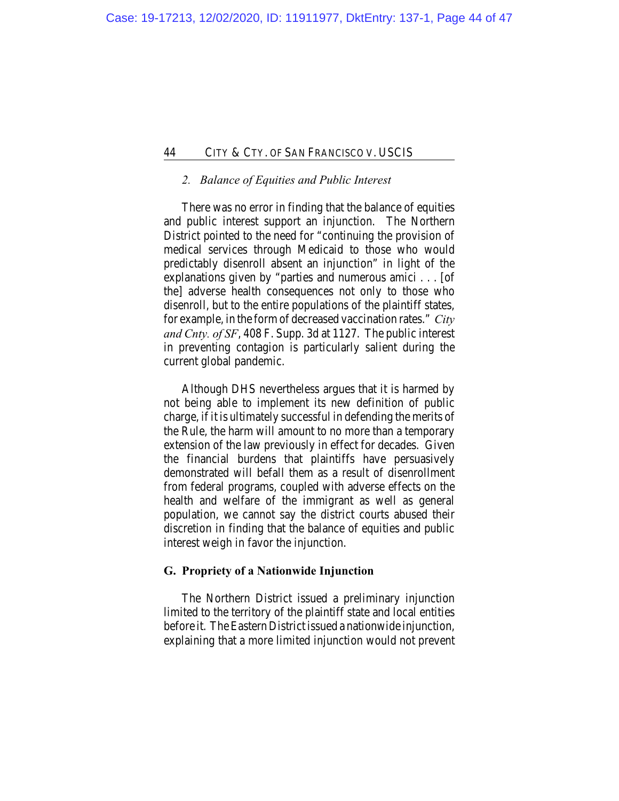## *2. Balance of Equities and Public Interest*

There was no error in finding that the balance of equities and public interest support an injunction. The Northern District pointed to the need for "continuing the provision of medical services through Medicaid to those who would predictably disenroll absent an injunction" in light of the explanations given by "parties and numerous amici . . . [of the] adverse health consequences not only to those who disenroll, but to the entire populations of the plaintiff states, for example, in the form of decreased vaccination rates." *City and Cnty. of SF*, 408 F. Supp. 3d at 1127. The public interest in preventing contagion is particularly salient during the current global pandemic.

Although DHS nevertheless argues that it is harmed by not being able to implement its new definition of public charge, if it is ultimately successful in defending the merits of the Rule, the harm will amount to no more than a temporary extension of the law previously in effect for decades. Given the financial burdens that plaintiffs have persuasively demonstrated will befall them as a result of disenrollment from federal programs, coupled with adverse effects on the health and welfare of the immigrant as well as general population, we cannot say the district courts abused their discretion in finding that the balance of equities and public interest weigh in favor the injunction.

### **G. Propriety of a Nationwide Injunction**

The Northern District issued a preliminary injunction limited to the territory of the plaintiff state and local entities before it. The Eastern District issued a nationwide injunction, explaining that a more limited injunction would not prevent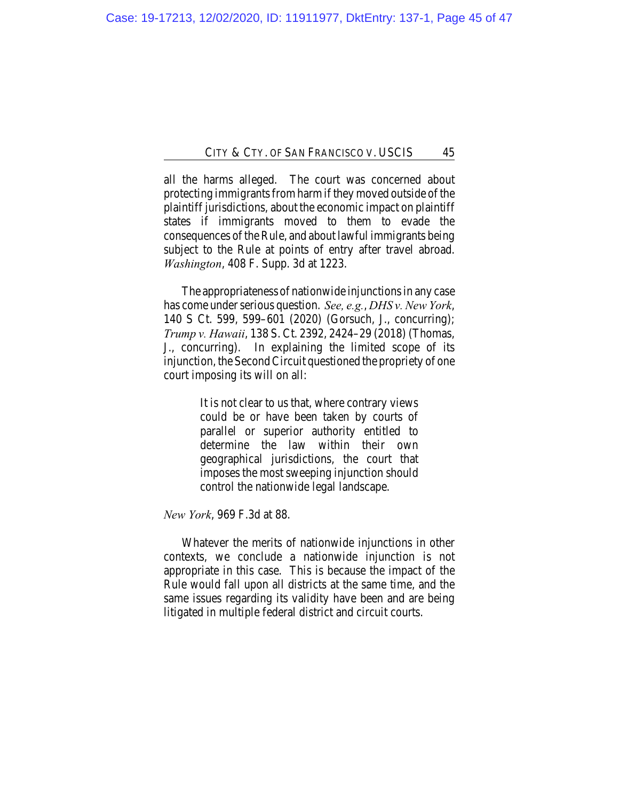all the harms alleged. The court was concerned about protecting immigrants from harm if they moved outside of the plaintiff jurisdictions, about the economic impact on plaintiff states if immigrants moved to them to evade the consequences of the Rule, and about lawful immigrants being subject to the Rule at points of entry after travel abroad. *Washington*, 408 F. Supp. 3d at 1223.

The appropriateness of nationwide injunctions in any case has come under serious question. *See, e.g.*, *DHS v. New York*, 140 S Ct. 599, 599–601 (2020) (Gorsuch, J., concurring); *Trump v. Hawaii*, 138 S. Ct. 2392, 2424–29 (2018) (Thomas, J., concurring). In explaining the limited scope of its injunction, the Second Circuit questioned the propriety of one court imposing its will on all:

> It is not clear to us that, where contrary views could be or have been taken by courts of parallel or superior authority entitled to determine the law within their own geographical jurisdictions, the court that imposes the most sweeping injunction should control the nationwide legal landscape.

*New York*, 969 F.3d at 88.

Whatever the merits of nationwide injunctions in other contexts, we conclude a nationwide injunction is not appropriate in this case. This is because the impact of the Rule would fall upon all districts at the same time, and the same issues regarding its validity have been and are being litigated in multiple federal district and circuit courts.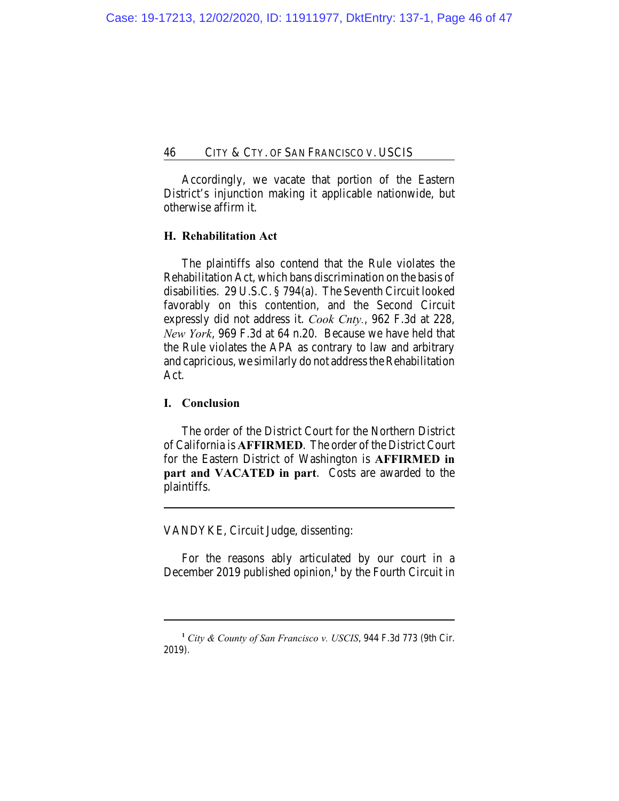Accordingly, we vacate that portion of the Eastern District's injunction making it applicable nationwide, but otherwise affirm it.

## **H. Rehabilitation Act**

The plaintiffs also contend that the Rule violates the Rehabilitation Act, which bans discrimination on the basis of disabilities. 29 U.S.C. § 794(a). The Seventh Circuit looked favorably on this contention, and the Second Circuit expressly did not address it. *Cook Cnty.*, 962 F.3d at 228, *New York*, 969 F.3d at 64 n.20. Because we have held that the Rule violates the APA as contrary to law and arbitrary and capricious, we similarly do not address the Rehabilitation Act.

#### **I. Conclusion**

The order of the District Court for the Northern District of California is **AFFIRMED**. The order of the District Court for the Eastern District of Washington is **AFFIRMED in part and VACATED in part**. Costs are awarded to the plaintiffs.

VANDYKE, Circuit Judge, dissenting:

For the reasons ably articulated by our court in a December 2019 published opinion,<sup>1</sup> by the Fourth Circuit in

**<sup>1</sup>** *City & County of San Francisco v. USCIS*, 944 F.3d 773 (9th Cir. 2019).